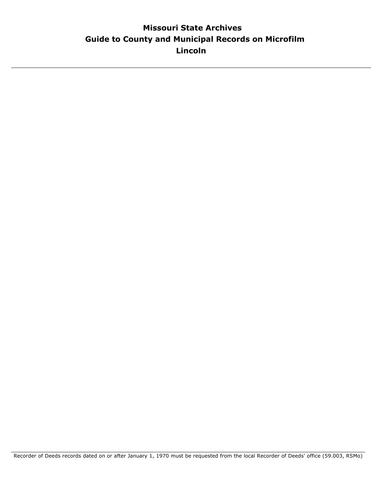# **Guide to County and Municipal Records on Microfilm Missouri State Archives Lincoln**

Recorder of Deeds records dated on or after January 1, 1970 must be requested from the local Recorder of Deeds' office (59.003, RSMo)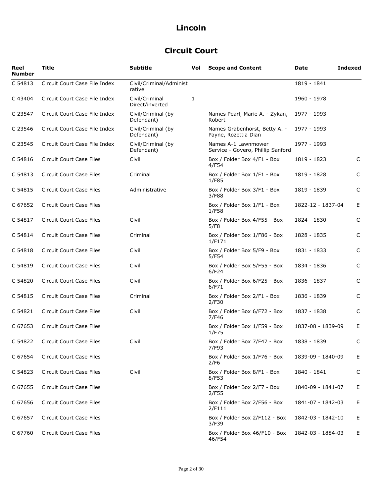## **Circuit Court**

| Reel<br><b>Number</b> | <b>Title</b>                    | <b>Subtitle</b>                   | Vol | <b>Scope and Content</b>                                 | Date              | <b>Indexed</b> |
|-----------------------|---------------------------------|-----------------------------------|-----|----------------------------------------------------------|-------------------|----------------|
| C 54813               | Circuit Court Case File Index   | Civil/Criminal/Administ<br>rative |     |                                                          | 1819 - 1841       |                |
| C 43404               | Circuit Court Case File Index   | Civil/Criminal<br>Direct/inverted | 1   |                                                          | 1960 - 1978       |                |
| C 23547               | Circuit Court Case File Index   | Civil/Criminal (by<br>Defendant)  |     | Names Pearl, Marie A. - Zykan,<br>Robert                 | 1977 - 1993       |                |
| C 23546               | Circuit Court Case File Index   | Civil/Criminal (by<br>Defendant)  |     | Names Grabenhorst, Betty A. -<br>Payne, Rozettia Dian    | 1977 - 1993       |                |
| C 23545               | Circuit Court Case File Index   | Civil/Criminal (by<br>Defendant)  |     | Names A-1 Lawnmower<br>Service - Govero, Phillip Sanford | 1977 - 1993       |                |
| C 54816               | Circuit Court Case Files        | Civil                             |     | Box / Folder Box 4/F1 - Box<br>4/F54                     | 1819 - 1823       | C              |
| C 54813               | Circuit Court Case Files        | Criminal                          |     | Box / Folder Box 1/F1 - Box<br>1/F85                     | 1819 - 1828       | C              |
| C 54815               | <b>Circuit Court Case Files</b> | Administrative                    |     | Box / Folder Box 3/F1 - Box<br>3/F88                     | 1819 - 1839       | C              |
| C 67652               | Circuit Court Case Files        |                                   |     | Box / Folder Box 1/F1 - Box<br>1/F58                     | 1822-12 - 1837-04 | E              |
| C 54817               | Circuit Court Case Files        | Civil                             |     | Box / Folder Box 4/F55 - Box<br>5/F8                     | 1824 - 1830       | C              |
| C 54814               | Circuit Court Case Files        | Criminal                          |     | Box / Folder Box 1/F86 - Box<br>1/F171                   | 1828 - 1835       | C              |
| C 54818               | Circuit Court Case Files        | Civil                             |     | Box / Folder Box 5/F9 - Box<br>5/F54                     | 1831 - 1833       | C              |
| C 54819               | Circuit Court Case Files        | Civil                             |     | Box / Folder Box 5/F55 - Box<br>6/F24                    | 1834 - 1836       | C              |
| C 54820               | Circuit Court Case Files        | Civil                             |     | Box / Folder Box 6/F25 - Box<br>6/F71                    | 1836 - 1837       | C              |
| C 54815               | Circuit Court Case Files        | Criminal                          |     | Box / Folder Box 2/F1 - Box<br>2/F30                     | 1836 - 1839       | C              |
| C 54821               | <b>Circuit Court Case Files</b> | Civil                             |     | Box / Folder Box 6/F72 - Box<br>7/F46                    | 1837 - 1838       | $\mathsf C$    |
| C 67653               | <b>Circuit Court Case Files</b> |                                   |     | Box / Folder Box 1/F59 - Box<br>1/F75                    | 1837-08 - 1839-09 | E              |
| C 54822               | Circuit Court Case Files        | Civil                             |     | Box / Folder Box 7/F47 - Box<br>7/F93                    | 1838 - 1839       | C              |
| C 67654               | Circuit Court Case Files        |                                   |     | Box / Folder Box 1/F76 - Box<br>2/F6                     | 1839-09 - 1840-09 | E.             |
| C 54823               | Circuit Court Case Files        | Civil                             |     | Box / Folder Box 8/F1 - Box<br>8/F53                     | 1840 - 1841       | C              |
| C 67655               | Circuit Court Case Files        |                                   |     | Box / Folder Box 2/F7 - Box<br>2/F55                     | 1840-09 - 1841-07 | E.             |
| C 67656               | Circuit Court Case Files        |                                   |     | Box / Folder Box 2/F56 - Box<br>2/F111                   | 1841-07 - 1842-03 | E              |
| C 67657               | <b>Circuit Court Case Files</b> |                                   |     | Box / Folder Box 2/F112 - Box<br>3/F39                   | 1842-03 - 1842-10 | E              |
| C 67760               | Circuit Court Case Files        |                                   |     | Box / Folder Box 46/F10 - Box<br>46/F54                  | 1842-03 - 1884-03 | E.             |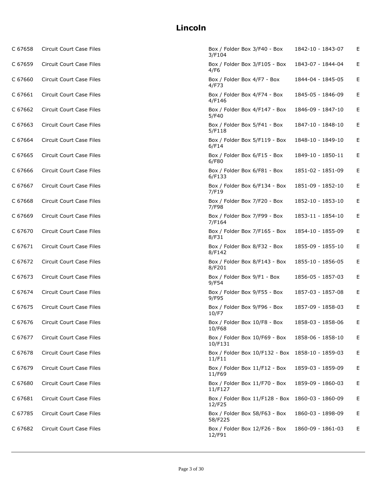| C 67658 | Circuit Court Case Files        | Box / Folder Box 3/F40 - Box<br>3/F104                     | 1842-10 - 1843-07 | Е |
|---------|---------------------------------|------------------------------------------------------------|-------------------|---|
| C 67659 | Circuit Court Case Files        | Box / Folder Box 3/F105 - Box<br>4/F6                      | 1843-07 - 1844-04 | Е |
| C 67660 | Circuit Court Case Files        | Box / Folder Box 4/F7 - Box<br>4/F73                       | 1844-04 - 1845-05 | E |
| C 67661 | Circuit Court Case Files        | Box / Folder Box 4/F74 - Box<br>4/F146                     | 1845-05 - 1846-09 | E |
| C 67662 | <b>Circuit Court Case Files</b> | Box / Folder Box 4/F147 - Box<br>5/F40                     | 1846-09 - 1847-10 | E |
| C 67663 | <b>Circuit Court Case Files</b> | Box / Folder Box 5/F41 - Box<br>5/F118                     | 1847-10 - 1848-10 | E |
| C 67664 | Circuit Court Case Files        | Box / Folder Box 5/F119 - Box<br>6/F14                     | 1848-10 - 1849-10 | E |
| C 67665 | Circuit Court Case Files        | Box / Folder Box 6/F15 - Box<br>6/F80                      | 1849-10 - 1850-11 | E |
| C 67666 | Circuit Court Case Files        | Box / Folder Box 6/F81 - Box<br>6/F133                     | 1851-02 - 1851-09 | E |
| C 67667 | <b>Circuit Court Case Files</b> | Box / Folder Box 6/F134 - Box<br>7/F19                     | 1851-09 - 1852-10 | E |
| C 67668 | <b>Circuit Court Case Files</b> | Box / Folder Box 7/F20 - Box<br>7/F98                      | 1852-10 - 1853-10 | E |
| C 67669 | <b>Circuit Court Case Files</b> | Box / Folder Box 7/F99 - Box<br>7/F164                     | 1853-11 - 1854-10 | Е |
| C 67670 | Circuit Court Case Files        | Box / Folder Box 7/F165 - Box<br>8/F31                     | 1854-10 - 1855-09 | Е |
| C 67671 | Circuit Court Case Files        | Box / Folder Box 8/F32 - Box<br>8/F142                     | 1855-09 - 1855-10 | E |
| C 67672 | Circuit Court Case Files        | Box / Folder Box 8/F143 - Box<br>8/F201                    | 1855-10 - 1856-05 | E |
| C 67673 | Circuit Court Case Files        | Box / Folder Box 9/F1 - Box<br>9/F54                       | 1856-05 - 1857-03 | E |
| C 67674 | Circuit Court Case Files        | Box / Folder Box 9/F55 - Box<br>9/F95                      | 1857-03 - 1857-08 | E |
| C 67675 | Circuit Court Case Files        | Box / Folder Box 9/F96 - Box<br>10/F7                      | 1857-09 - 1858-03 | E |
| C 67676 | Circuit Court Case Files        | Box / Folder Box 10/F8 - Box<br>10/F68                     | 1858-03 - 1858-06 | E |
| C 67677 | Circuit Court Case Files        | Box / Folder Box 10/F69 - Box<br>10/F131                   | 1858-06 - 1858-10 | E |
| C 67678 | Circuit Court Case Files        | Box / Folder Box 10/F132 - Box 1858-10 - 1859-03<br>11/F11 |                   | E |
| C 67679 | Circuit Court Case Files        | Box / Folder Box 11/F12 - Box<br>11/F69                    | 1859-03 - 1859-09 | E |
| C 67680 | Circuit Court Case Files        | Box / Folder Box 11/F70 - Box<br>11/F127                   | 1859-09 - 1860-03 | E |
| C 67681 | Circuit Court Case Files        | Box / Folder Box 11/F128 - Box<br>12/F25                   | 1860-03 - 1860-09 | E |
| C 67785 | Circuit Court Case Files        | Box / Folder Box 58/F63 - Box<br>58/F225                   | 1860-03 - 1898-09 | E |
| C 67682 | <b>Circuit Court Case Files</b> | Box / Folder Box 12/F26 - Box<br>12/F91                    | 1860-09 - 1861-03 | E |
|         |                                 |                                                            |                   |   |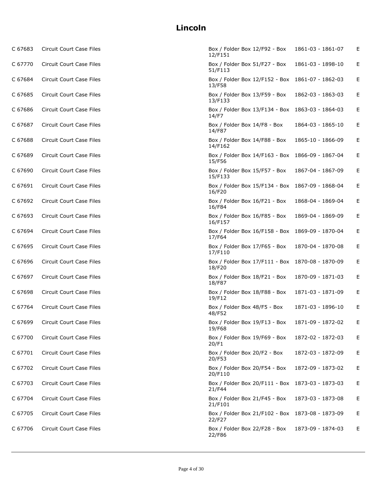| C 67683 | Circuit Court Case Files        | Box / Folder Box 12/F92 - Box<br>12/F151                   | 1861-03 - 1861-07 | E |
|---------|---------------------------------|------------------------------------------------------------|-------------------|---|
| C 67770 | Circuit Court Case Files        | Box / Folder Box 51/F27 - Box<br>51/F113                   | 1861-03 - 1898-10 | Е |
| C 67684 | Circuit Court Case Files        | Box / Folder Box 12/F152 - Box 1861-07 - 1862-03<br>13/F58 |                   | E |
| C 67685 | Circuit Court Case Files        | Box / Folder Box 13/F59 - Box<br>13/F133                   | 1862-03 - 1863-03 | E |
| C 67686 | Circuit Court Case Files        | Box / Folder Box 13/F134 - Box 1863-03 - 1864-03<br>14/F7  |                   | Е |
| C 67687 | Circuit Court Case Files        | Box / Folder Box 14/F8 - Box<br>14/F87                     | 1864-03 - 1865-10 | Е |
| C 67688 | Circuit Court Case Files        | Box / Folder Box 14/F88 - Box<br>14/F162                   | 1865-10 - 1866-09 | E |
| C 67689 | Circuit Court Case Files        | Box / Folder Box 14/F163 - Box 1866-09 - 1867-04<br>15/F56 |                   | E |
| C 67690 | Circuit Court Case Files        | Box / Folder Box 15/F57 - Box<br>15/F133                   | 1867-04 - 1867-09 | E |
| C 67691 | Circuit Court Case Files        | Box / Folder Box 15/F134 - Box 1867-09 - 1868-04<br>16/F20 |                   | E |
| C 67692 | Circuit Court Case Files        | Box / Folder Box 16/F21 - Box<br>16/F84                    | 1868-04 - 1869-04 | E |
| C 67693 | Circuit Court Case Files        | Box / Folder Box 16/F85 - Box<br>16/F157                   | 1869-04 - 1869-09 | Е |
| C 67694 | Circuit Court Case Files        | Box / Folder Box 16/F158 - Box 1869-09 - 1870-04<br>17/F64 |                   | Е |
| C 67695 | Circuit Court Case Files        | Box / Folder Box 17/F65 - Box<br>17/F110                   | 1870-04 - 1870-08 | E |
| C 67696 | Circuit Court Case Files        | Box / Folder Box 17/F111 - Box 1870-08 - 1870-09<br>18/F20 |                   | E |
| C 67697 | Circuit Court Case Files        | Box / Folder Box 18/F21 - Box<br>18/F87                    | 1870-09 - 1871-03 | E |
| C 67698 | Circuit Court Case Files        | Box / Folder Box 18/F88 - Box<br>19/F12                    | 1871-03 - 1871-09 | E |
| C 67764 | Circuit Court Case Files        | Box / Folder Box 48/F5 - Box<br>48/F52                     | 1871-03 - 1896-10 | E |
| C 67699 | Circuit Court Case Files        | Box / Folder Box 19/F13 - Box<br>19/F68                    | 1871-09 - 1872-02 | E |
| C 67700 | Circuit Court Case Files        | Box / Folder Box 19/F69 - Box<br>20/F1                     | 1872-02 - 1872-03 | E |
| C 67701 | Circuit Court Case Files        | Box / Folder Box 20/F2 - Box<br>20/F53                     | 1872-03 - 1872-09 | E |
| C 67702 | Circuit Court Case Files        | Box / Folder Box 20/F54 - Box<br>20/F110                   | 1872-09 - 1873-02 | E |
| C 67703 | <b>Circuit Court Case Files</b> | Box / Folder Box 20/F111 - Box 1873-03 - 1873-03<br>21/F44 |                   | E |
| C 67704 | <b>Circuit Court Case Files</b> | Box / Folder Box 21/F45 - Box<br>21/F101                   | 1873-03 - 1873-08 | E |
| C 67705 | Circuit Court Case Files        | Box / Folder Box 21/F102 - Box 1873-08 - 1873-09<br>22/F27 |                   | E |
| C 67706 | Circuit Court Case Files        | Box / Folder Box 22/F28 - Box<br>22/F86                    | 1873-09 - 1874-03 | Е |
|         |                                 |                                                            |                   |   |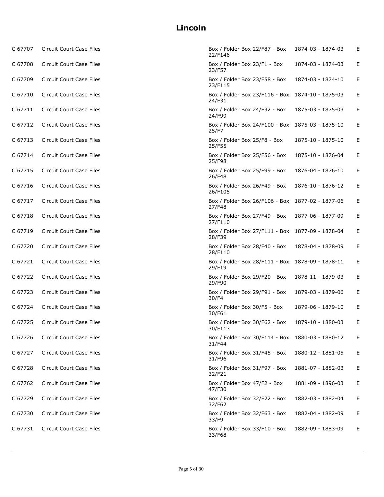| C 67707 | Circuit Court Case Files        | Box / Folder Box 22/F87 - Box<br>22/F146                   | 1874-03 - 1874-03 | Е |
|---------|---------------------------------|------------------------------------------------------------|-------------------|---|
| C 67708 | Circuit Court Case Files        | Box / Folder Box 23/F1 - Box<br>23/F57                     | 1874-03 - 1874-03 | Е |
| C 67709 | Circuit Court Case Files        | Box / Folder Box 23/F58 - Box<br>23/F115                   | 1874-03 - 1874-10 | Е |
| C 67710 | Circuit Court Case Files        | Box / Folder Box 23/F116 - Box 1874-10 - 1875-03<br>24/F31 |                   | Е |
| C 67711 | Circuit Court Case Files        | Box / Folder Box 24/F32 - Box<br>24/F99                    | 1875-03 - 1875-03 | Е |
| C 67712 | <b>Circuit Court Case Files</b> | Box / Folder Box 24/F100 - Box 1875-03 - 1875-10<br>25/F7  |                   | Е |
| C 67713 | Circuit Court Case Files        | Box / Folder Box 25/F8 - Box<br>25/F55                     | 1875-10 - 1875-10 | Е |
| C 67714 | Circuit Court Case Files        | Box / Folder Box 25/F56 - Box<br>25/F98                    | 1875-10 - 1876-04 | Е |
| C 67715 | Circuit Court Case Files        | Box / Folder Box 25/F99 - Box<br>26/F48                    | 1876-04 - 1876-10 | Е |
| C 67716 | Circuit Court Case Files        | Box / Folder Box 26/F49 - Box<br>26/F105                   | 1876-10 - 1876-12 | Е |
| C 67717 | Circuit Court Case Files        | Box / Folder Box 26/F106 - Box 1877-02 - 1877-06<br>27/F48 |                   | Е |
| C 67718 | Circuit Court Case Files        | Box / Folder Box 27/F49 - Box<br>27/F110                   | 1877-06 - 1877-09 | Е |
| C 67719 | Circuit Court Case Files        | Box / Folder Box 27/F111 - Box 1877-09 - 1878-04<br>28/F39 |                   | Е |
| C 67720 | Circuit Court Case Files        | Box / Folder Box 28/F40 - Box<br>28/F110                   | 1878-04 - 1878-09 | Е |
| C 67721 | Circuit Court Case Files        | Box / Folder Box 28/F111 - Box 1878-09 - 1878-11<br>29/F19 |                   | Е |
| C 67722 | Circuit Court Case Files        | Box / Folder Box 29/F20 - Box<br>29/F90                    | 1878-11 - 1879-03 | Е |
| C 67723 | Circuit Court Case Files        | Box / Folder Box 29/F91 - Box<br>30/F4                     | 1879-03 - 1879-06 | Е |
| C 67724 | Circuit Court Case Files        | Box / Folder Box 30/F5 - Box<br>30/F61                     | 1879-06 - 1879-10 | Е |
| C 67725 | Circuit Court Case Files        | Box / Folder Box 30/F62 - Box<br>30/F113                   | 1879-10 - 1880-03 | Е |
| C 67726 | Circuit Court Case Files        | Box / Folder Box 30/F114 - Box 1880-03 - 1880-12<br>31/F44 |                   | E |
| C 67727 | Circuit Court Case Files        | Box / Folder Box 31/F45 - Box<br>31/F96                    | 1880-12 - 1881-05 | Е |
| C 67728 | Circuit Court Case Files        | Box / Folder Box 31/F97 - Box<br>32/F21                    | 1881-07 - 1882-03 | E |
| C 67762 | <b>Circuit Court Case Files</b> | Box / Folder Box 47/F2 - Box<br>47/F30                     | 1881-09 - 1896-03 | Е |
| C 67729 | <b>Circuit Court Case Files</b> | Box / Folder Box 32/F22 - Box<br>32/F62                    | 1882-03 - 1882-04 | Е |
| C 67730 | Circuit Court Case Files        | Box / Folder Box 32/F63 - Box<br>33/F9                     | 1882-04 - 1882-09 | Е |
| C 67731 | Circuit Court Case Files        | Box / Folder Box 33/F10 - Box<br>33/F68                    | 1882-09 - 1883-09 | Е |
|         |                                 |                                                            |                   |   |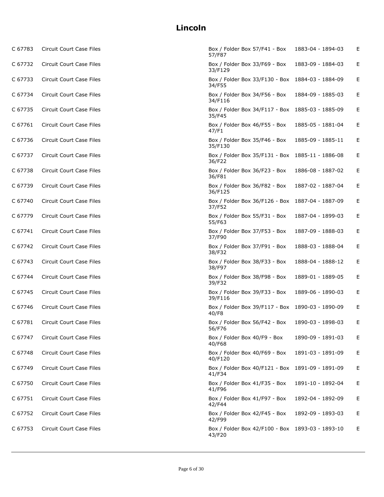| C 67783 | Circuit Court Case Files        | Box / Folder Box 57/F41 - Box<br>57/F87                    | 1883-04 - 1894-03 | Е |
|---------|---------------------------------|------------------------------------------------------------|-------------------|---|
| C 67732 | Circuit Court Case Files        | Box / Folder Box 33/F69 - Box<br>33/F129                   | 1883-09 - 1884-03 | E |
| C 67733 | Circuit Court Case Files        | Box / Folder Box 33/F130 - Box 1884-03 - 1884-09<br>34/F55 |                   | E |
| C 67734 | Circuit Court Case Files        | Box / Folder Box 34/F56 - Box<br>34/F116                   | 1884-09 - 1885-03 | E |
| C 67735 | Circuit Court Case Files        | Box / Folder Box 34/F117 - Box 1885-03 - 1885-09<br>35/F45 |                   | Е |
| C 67761 | <b>Circuit Court Case Files</b> | Box / Folder Box 46/F55 - Box<br>47/F1                     | 1885-05 - 1881-04 | E |
| C 67736 | Circuit Court Case Files        | Box / Folder Box 35/F46 - Box<br>35/F130                   | 1885-09 - 1885-11 | Е |
| C 67737 | Circuit Court Case Files        | Box / Folder Box 35/F131 - Box 1885-11 - 1886-08<br>36/F22 |                   | E |
| C 67738 | Circuit Court Case Files        | Box / Folder Box 36/F23 - Box<br>36/F81                    | 1886-08 - 1887-02 | E |
| C 67739 | Circuit Court Case Files        | Box / Folder Box 36/F82 - Box<br>36/F125                   | 1887-02 - 1887-04 | E |
| C 67740 | <b>Circuit Court Case Files</b> | Box / Folder Box 36/F126 - Box 1887-04 - 1887-09<br>37/F52 |                   | Е |
| C 67779 | Circuit Court Case Files        | Box / Folder Box 55/F31 - Box<br>55/F63                    | 1887-04 - 1899-03 | Е |
| C 67741 | Circuit Court Case Files        | Box / Folder Box 37/F53 - Box<br>37/F90                    | 1887-09 - 1888-03 | Е |
| C 67742 | Circuit Court Case Files        | Box / Folder Box 37/F91 - Box<br>38/F32                    | 1888-03 - 1888-04 | Е |
| C 67743 | Circuit Court Case Files        | Box / Folder Box 38/F33 - Box<br>38/F97                    | 1888-04 - 1888-12 | Е |
| C 67744 | Circuit Court Case Files        | Box / Folder Box 38/F98 - Box<br>39/F32                    | 1889-01 - 1889-05 | E |
| C 67745 | Circuit Court Case Files        | Box / Folder Box 39/F33 - Box<br>39/F116                   | 1889-06 - 1890-03 | Е |
| C 67746 | Circuit Court Case Files        | Box / Folder Box 39/F117 - Box 1890-03 - 1890-09<br>40/F8  |                   | Е |
| C 67781 | Circuit Court Case Files        | Box / Folder Box 56/F42 - Box<br>56/F76                    | 1890-03 - 1898-03 | Е |
| C 67747 | Circuit Court Case Files        | Box / Folder Box 40/F9 - Box<br>40/F68                     | 1890-09 - 1891-03 | Е |
| C 67748 | Circuit Court Case Files        | Box / Folder Box 40/F69 - Box<br>40/F120                   | 1891-03 - 1891-09 | Е |
| C 67749 | <b>Circuit Court Case Files</b> | Box / Folder Box 40/F121 - Box 1891-09 - 1891-09<br>41/F34 |                   | E |
| C 67750 | Circuit Court Case Files        | Box / Folder Box 41/F35 - Box<br>41/F96                    | 1891-10 - 1892-04 | Е |
| C 67751 | Circuit Court Case Files        | Box / Folder Box 41/F97 - Box<br>42/F44                    | 1892-04 - 1892-09 | Е |
| C 67752 | Circuit Court Case Files        | Box / Folder Box 42/F45 - Box<br>42/F99                    | 1892-09 - 1893-03 | E |
| C 67753 | <b>Circuit Court Case Files</b> | Box / Folder Box 42/F100 - Box 1893-03 - 1893-10<br>43/F20 |                   | E |
|         |                                 |                                                            |                   |   |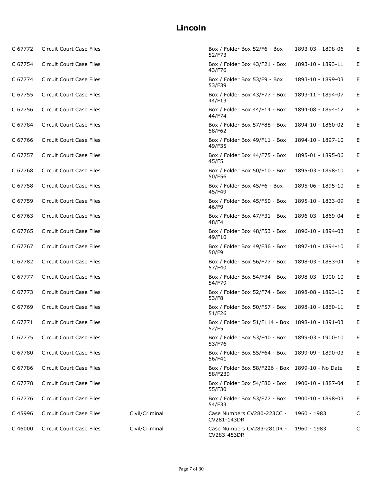| C 67772 | Circuit Court Case Files        |                | Box / Folder Box 52/F6 - Box<br>52/F73                    | 1893-03 - 1898-06 | Е  |
|---------|---------------------------------|----------------|-----------------------------------------------------------|-------------------|----|
| C 67754 | <b>Circuit Court Case Files</b> |                | Box / Folder Box 43/F21 - Box<br>43/F76                   | 1893-10 - 1893-11 | E. |
| C 67774 | Circuit Court Case Files        |                | Box / Folder Box 53/F9 - Box<br>53/F39                    | 1893-10 - 1899-03 | Е  |
| C 67755 | Circuit Court Case Files        |                | Box / Folder Box 43/F77 - Box<br>44/F13                   | 1893-11 - 1894-07 | Е  |
| C 67756 | Circuit Court Case Files        |                | Box / Folder Box 44/F14 - Box<br>44/F74                   | 1894-08 - 1894-12 | Е  |
| C 67784 | Circuit Court Case Files        |                | Box / Folder Box 57/F88 - Box<br>58/F62                   | 1894-10 - 1860-02 | Е  |
| C 67766 | Circuit Court Case Files        |                | Box / Folder Box 49/F11 - Box<br>49/F35                   | 1894-10 - 1897-10 | Е  |
| C 67757 | Circuit Court Case Files        |                | Box / Folder Box 44/F75 - Box<br>45/F5                    | 1895-01 - 1895-06 | Е  |
| C 67768 | Circuit Court Case Files        |                | Box / Folder Box 50/F10 - Box<br>50/F56                   | 1895-03 - 1898-10 | Е  |
| C 67758 | Circuit Court Case Files        |                | Box / Folder Box 45/F6 - Box<br>45/F49                    | 1895-06 - 1895-10 | Е  |
| C 67759 | Circuit Court Case Files        |                | Box / Folder Box 45/F50 - Box<br>46/F9                    | 1895-10 - 1833-09 | Е  |
| C 67763 | Circuit Court Case Files        |                | Box / Folder Box 47/F31 - Box<br>48/F4                    | 1896-03 - 1869-04 | Е  |
| C 67765 | Circuit Court Case Files        |                | Box / Folder Box 48/F53 - Box<br>49/F10                   | 1896-10 - 1894-03 | Е  |
| C 67767 | Circuit Court Case Files        |                | Box / Folder Box 49/F36 - Box<br>50/F9                    | 1897-10 - 1894-10 | Е  |
| C 67782 | Circuit Court Case Files        |                | Box / Folder Box 56/F77 - Box<br>57/F40                   | 1898-03 - 1883-04 | Е  |
| C 67777 | Circuit Court Case Files        |                | Box / Folder Box 54/F34 - Box<br>54/F79                   | 1898-03 - 1900-10 | Е  |
| C 67773 | Circuit Court Case Files        |                | Box / Folder Box 52/F74 - Box<br>53/F8                    | 1898-08 - 1893-10 | Е  |
| C 67769 | Circuit Court Case Files        |                | Box / Folder Box 50/F57 - Box<br>51/F26                   | 1898-10 - 1860-11 | Е  |
| C 67771 | <b>Circuit Court Case Files</b> |                | Box / Folder Box 51/F114 - Box 1898-10 - 1891-03<br>52/F5 |                   | Е  |
| C 67775 | Circuit Court Case Files        |                | Box / Folder Box 53/F40 - Box<br>53/F76                   | 1899-03 - 1900-10 | Е  |
| C 67780 | <b>Circuit Court Case Files</b> |                | Box / Folder Box 55/F64 - Box<br>56/F41                   | 1899-09 - 1890-03 | Е  |
| C 67786 | Circuit Court Case Files        |                | Box / Folder Box 58/F226 - Box<br>58/F239                 | 1899-10 - No Date | Е  |
| C 67778 | Circuit Court Case Files        |                | Box / Folder Box 54/F80 - Box<br>55/F30                   | 1900-10 - 1887-04 | Е  |
| C 67776 | <b>Circuit Court Case Files</b> |                | Box / Folder Box 53/F77 - Box<br>54/F33                   | 1900-10 - 1898-03 | Е  |
| C 45996 | Circuit Court Case Files        | Civil/Criminal | Case Numbers CV280-223CC -<br>CV281-143DR                 | 1960 - 1983       | С  |
| C 46000 | Circuit Court Case Files        | Civil/Criminal | Case Numbers CV283-281DR -<br>CV283-453DR                 | 1960 - 1983       | C  |
|         |                                 |                |                                                           |                   |    |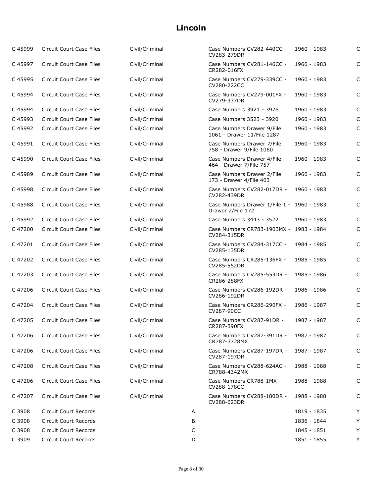| C 45999 | Circuit Court Case Files        | Civil/Criminal |   | Case Numbers CV282-440CC -<br>CV283-279DR                       | 1960 - 1983 | C            |
|---------|---------------------------------|----------------|---|-----------------------------------------------------------------|-------------|--------------|
| C 45997 | <b>Circuit Court Case Files</b> | Civil/Criminal |   | Case Numbers CV281-146CC -<br>CR282-016FX                       | 1960 - 1983 | $\mathsf{C}$ |
| C45995  | <b>Circuit Court Case Files</b> | Civil/Criminal |   | Case Numbers CV279-339CC -<br>CV280-222CC                       | 1960 - 1983 | $\mathsf{C}$ |
| C 45994 | Circuit Court Case Files        | Civil/Criminal |   | Case Numbers CV279-001FX -<br>CV279-337DR                       | 1960 - 1983 | $\mathsf{C}$ |
| C 45994 | Circuit Court Case Files        | Civil/Criminal |   | Case Numbers 3921 - 3976                                        | 1960 - 1983 | C            |
| C 45993 | <b>Circuit Court Case Files</b> | Civil/Criminal |   | Case Numbers 3523 - 3920                                        | 1960 - 1983 | C            |
| C 45992 | <b>Circuit Court Case Files</b> | Civil/Criminal |   | Case Numbers Drawer 9/File<br>1061 - Drawer 11/File 1287        | 1960 - 1983 | $\mathsf{C}$ |
| C 45991 | Circuit Court Case Files        | Civil/Criminal |   | Case Numbers Drawer 7/File<br>758 - Drawer 9/File 1060          | 1960 - 1983 | C            |
| C 45990 | <b>Circuit Court Case Files</b> | Civil/Criminal |   | Case Numbers Drawer 4/File<br>464 - Drawer 7/File 757           | 1960 - 1983 | $\mathsf{C}$ |
| C 45989 | <b>Circuit Court Case Files</b> | Civil/Criminal |   | Case Numbers Drawer 2/File<br>173 - Drawer 4/File 463           | 1960 - 1983 | $\mathsf{C}$ |
| C 45998 | <b>Circuit Court Case Files</b> | Civil/Criminal |   | Case Numbers CV282-017DR -<br>CV282-439DR                       | 1960 - 1983 | $\mathsf{C}$ |
| C 45988 | <b>Circuit Court Case Files</b> | Civil/Criminal |   | Case Numbers Drawer 1/File 1 - 1960 - 1983<br>Drawer 2/File 172 |             | $\mathsf{C}$ |
| C 45992 | <b>Circuit Court Case Files</b> | Civil/Criminal |   | Case Numbers 3443 - 3522                                        | 1960 - 1983 | $\mathsf{C}$ |
| C 47200 | <b>Circuit Court Case Files</b> | Civil/Criminal |   | Case Numbers CR783-1903MX - 1983 - 1984<br>CV284-315DR          |             | $\mathsf{C}$ |
| C 47201 | Circuit Court Case Files        | Civil/Criminal |   | Case Numbers CV284-317CC -<br>CV285-135DR                       | 1984 - 1985 | C            |
| C 47202 | Circuit Court Case Files        | Civil/Criminal |   | Case Numbers CR285-136FX -<br>CV285-552DR                       | 1985 - 1985 | $\mathsf{C}$ |
| C 47203 | Circuit Court Case Files        | Civil/Criminal |   | Case Numbers CV285-553DR -<br>CR286-288FX                       | 1985 - 1986 | $\mathsf{C}$ |
| C47206  | Circuit Court Case Files        | Civil/Criminal |   | Case Numbers CV286-192DR -<br>CV286-192DR                       | 1986 - 1986 | $\mathsf{C}$ |
| C 47204 | Circuit Court Case Files        | Civil/Criminal |   | Case Numbers CR286-290FX -<br>CV287-90CC                        | 1986 - 1987 | $\mathsf{C}$ |
| C 47205 | Circuit Court Case Files        | Civil/Criminal |   | Case Numbers CV287-91DR -<br>CR287-390FX                        | 1987 - 1987 | $\mathsf{C}$ |
| C 47206 | Circuit Court Case Files        | Civil/Criminal |   | Case Numbers CV287-391DR -<br>CR787-3728MX                      | 1987 - 1987 | C            |
| C 47206 | Circuit Court Case Files        | Civil/Criminal |   | Case Numbers CV287-197DR -<br>CV287-197DR                       | 1987 - 1987 | C            |
| C 47208 | Circuit Court Case Files        | Civil/Criminal |   | Case Numbers CV288-624AC -<br>CR788-4342MX                      | 1988 - 1988 | C            |
| C 47206 | Circuit Court Case Files        | Civil/Criminal |   | Case Numbers CR788-1MX -<br>CV288-178CC                         | 1988 - 1988 | C            |
| C 47207 | Circuit Court Case Files        | Civil/Criminal |   | Case Numbers CV288-180DR -<br>CV288-623DR                       | 1988 - 1988 | C            |
| C 3908  | Circuit Court Records           |                | A |                                                                 | 1819 - 1835 | Υ            |
| C 3908  | Circuit Court Records           |                | В |                                                                 | 1836 - 1844 | Υ            |
| C 3908  | Circuit Court Records           |                | C |                                                                 | 1845 - 1851 | Y            |
| C 3909  | Circuit Court Records           |                | D |                                                                 | 1851 - 1855 | Υ            |
|         |                                 |                |   |                                                                 |             |              |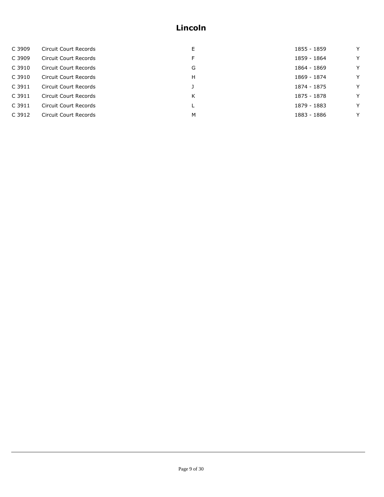| C 3909 | Circuit Court Records | E | 1855 - 1859 | Y |
|--------|-----------------------|---|-------------|---|
| C 3909 | Circuit Court Records | F | 1859 - 1864 | Y |
| C 3910 | Circuit Court Records | G | 1864 - 1869 | Y |
| C 3910 | Circuit Court Records | н | 1869 - 1874 | Y |
| C 3911 | Circuit Court Records |   | 1874 - 1875 | Y |
| C 3911 | Circuit Court Records | Κ | 1875 - 1878 | Y |
| C 3911 | Circuit Court Records |   | 1879 - 1883 | Y |
| C 3912 | Circuit Court Records | M | 1883 - 1886 | Y |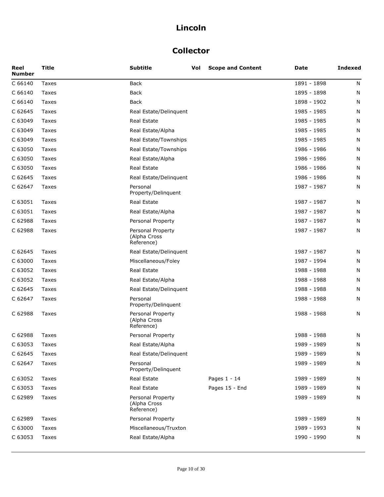## **Collector**

| Reel<br><b>Number</b> | <b>Title</b> | <b>Subtitle</b>                                 | Vol | <b>Scope and Content</b> | Date        | <b>Indexed</b> |
|-----------------------|--------------|-------------------------------------------------|-----|--------------------------|-------------|----------------|
| C 66140               | Taxes        | Back                                            |     |                          | 1891 - 1898 | N              |
| C 66140               | Taxes        | Back                                            |     |                          | 1895 - 1898 | N              |
| C 66140               | Taxes        | Back                                            |     |                          | 1898 - 1902 | N              |
| C 62645               | Taxes        | Real Estate/Delinquent                          |     |                          | 1985 - 1985 | N              |
| C 63049               | Taxes        | Real Estate                                     |     |                          | 1985 - 1985 | N              |
| C 63049               | Taxes        | Real Estate/Alpha                               |     |                          | 1985 - 1985 | N              |
| C 63049               | Taxes        | Real Estate/Townships                           |     |                          | 1985 - 1985 | N              |
| C 63050               | Taxes        | Real Estate/Townships                           |     |                          | 1986 - 1986 | N              |
| C 63050               | Taxes        | Real Estate/Alpha                               |     |                          | 1986 - 1986 | N              |
| C 63050               | Taxes        | Real Estate                                     |     |                          | 1986 - 1986 | N              |
| C 62645               | Taxes        | Real Estate/Delinquent                          |     |                          | 1986 - 1986 | N              |
| C 62647               | Taxes        | Personal<br>Property/Delinquent                 |     |                          | 1987 - 1987 | N              |
| C 63051               | Taxes        | Real Estate                                     |     |                          | 1987 - 1987 | N              |
| C 63051               | Taxes        | Real Estate/Alpha                               |     |                          | 1987 - 1987 | N              |
| C 62988               | Taxes        | Personal Property                               |     |                          | 1987 - 1987 | N              |
| C 62988               | Taxes        | Personal Property<br>(Alpha Cross<br>Reference) |     |                          | 1987 - 1987 | N              |
| C 62645               | Taxes        | Real Estate/Delinquent                          |     |                          | 1987 - 1987 | N              |
| C 63000               | Taxes        | Miscellaneous/Foley                             |     |                          | 1987 - 1994 | N              |
| C 63052               | Taxes        | <b>Real Estate</b>                              |     |                          | 1988 - 1988 | N              |
| C 63052               | Taxes        | Real Estate/Alpha                               |     |                          | 1988 - 1988 | N              |
| C 62645               | Taxes        | Real Estate/Delinquent                          |     |                          | 1988 - 1988 | N              |
| C 62647               | Taxes        | Personal<br>Property/Delinquent                 |     |                          | 1988 - 1988 | N              |
| C 62988               | Taxes        | Personal Property<br>(Alpha Cross<br>Reference) |     |                          | 1988 - 1988 | N              |
| C 62988               | Taxes        | Personal Property                               |     |                          | 1988 - 1988 | N              |
| C 63053               | Taxes        | Real Estate/Alpha                               |     |                          | 1989 - 1989 | N              |
| C 62645               | Taxes        | Real Estate/Delinquent                          |     |                          | 1989 - 1989 | N              |
| C 62647               | Taxes        | Personal<br>Property/Delinquent                 |     |                          | 1989 - 1989 | N              |
| C 63052               | Taxes        | Real Estate                                     |     | Pages 1 - 14             | 1989 - 1989 | N              |
| C 63053               | Taxes        | <b>Real Estate</b>                              |     | Pages 15 - End           | 1989 - 1989 | N              |
| C 62989               | Taxes        | Personal Property<br>(Alpha Cross<br>Reference) |     |                          | 1989 - 1989 | N              |
| C 62989               | Taxes        | Personal Property                               |     |                          | 1989 - 1989 | N              |
| C 63000               | Taxes        | Miscellaneous/Truxton                           |     |                          | 1989 - 1993 | N              |
| C 63053               | Taxes        | Real Estate/Alpha                               |     |                          | 1990 - 1990 | N              |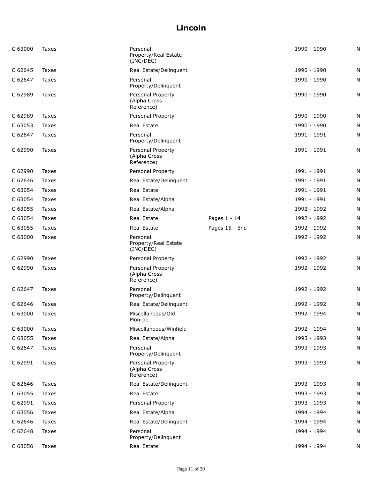| C 63000 | Taxes | Personal<br>Property/Real Estate<br>(INC/DEC)   |                | 1990 - 1990 | N |
|---------|-------|-------------------------------------------------|----------------|-------------|---|
| C 62645 | Taxes | Real Estate/Delinquent                          |                | 1990 - 1990 | N |
| C 62647 | Taxes | Personal<br>Property/Delinquent                 |                | 1990 - 1990 | N |
| C 62989 | Taxes | Personal Property<br>(Alpha Cross<br>Reference) |                | 1990 - 1990 | N |
| C 62989 | Taxes | Personal Property                               |                | 1990 - 1990 | N |
| C 63053 | Taxes | Real Estate                                     |                | 1990 - 1990 | N |
| C 62647 | Taxes | Personal<br>Property/Delinquent                 |                | 1991 - 1991 | N |
| C 62990 | Taxes | Personal Property<br>(Alpha Cross<br>Reference) |                | 1991 - 1991 | N |
| C 62990 | Taxes | Personal Property                               |                | 1991 - 1991 | N |
| C 62646 | Taxes | Real Estate/Delinquent                          |                | 1991 - 1991 | N |
| C 63054 | Taxes | Real Estate                                     |                | 1991 - 1991 | N |
| C 63054 | Taxes | Real Estate/Alpha                               |                | 1991 - 1991 | N |
| C 63055 | Taxes | Real Estate/Alpha                               |                | 1992 - 1992 | N |
| C 63054 | Taxes | Real Estate                                     | Pages 1 - 14   | 1992 - 1992 | N |
| C 63055 | Taxes | Real Estate                                     | Pages 15 - End | 1992 - 1992 | N |
| C 63000 | Taxes | Personal<br>Property/Real Estate<br>(INC/DEC)   |                | 1992 - 1992 | N |
| C 62990 | Taxes | Personal Property                               |                | 1992 - 1992 | N |
| C 62990 | Taxes | Personal Property<br>(Alpha Cross<br>Reference) |                | 1992 - 1992 | N |
| C 62647 | Taxes | Personal<br>Property/Delinquent                 |                | 1992 - 1992 | N |
| C 62646 | Taxes | Real Estate/Delinquent                          |                | 1992 - 1992 | N |
| C 63000 | Taxes | Miscellaneous/Old<br>Monroe                     |                | 1992 - 1994 | N |
| C 63000 | Taxes | Miscellaneous/Winfield                          |                | 1992 - 1994 | N |
| C 63055 | Taxes | Real Estate/Alpha                               |                | 1993 - 1993 | N |
| C 62647 | Taxes | Personal<br>Property/Delinquent                 |                | 1993 - 1993 | N |
| C 62991 | Taxes | Personal Property<br>(Alpha Cross<br>Reference) |                | 1993 - 1993 | N |
| C 62646 | Taxes | Real Estate/Delinquent                          |                | 1993 - 1993 | N |
| C 63055 | Taxes | Real Estate                                     |                | 1993 - 1993 | N |
| C 62991 | Taxes | Personal Property                               |                | 1993 - 1993 | N |
| C 63056 | Taxes | Real Estate/Alpha                               |                | 1994 - 1994 | N |
| C 62646 | Taxes | Real Estate/Delinquent                          |                | 1994 - 1994 | N |
| C 62648 | Taxes | Personal<br>Property/Delinquent                 |                | 1994 - 1994 | N |
| C 63056 | Taxes | Real Estate                                     |                | 1994 - 1994 | N |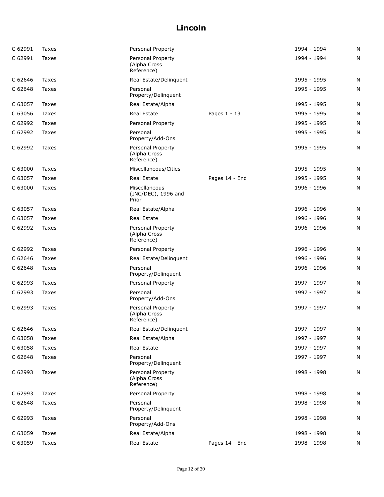| C 62991 | Taxes | Personal Property                               |                | 1994 - 1994 | N |
|---------|-------|-------------------------------------------------|----------------|-------------|---|
| C 62991 | Taxes | Personal Property<br>(Alpha Cross<br>Reference) |                | 1994 - 1994 | N |
| C 62646 | Taxes | Real Estate/Delinquent                          |                | 1995 - 1995 | N |
| C 62648 | Taxes | Personal<br>Property/Delinquent                 |                | 1995 - 1995 | N |
| C 63057 | Taxes | Real Estate/Alpha                               |                | 1995 - 1995 | N |
| C 63056 | Taxes | Real Estate                                     | Pages 1 - 13   | 1995 - 1995 | N |
| C 62992 | Taxes | Personal Property                               |                | 1995 - 1995 | N |
| C 62992 | Taxes | Personal<br>Property/Add-Ons                    |                | 1995 - 1995 | N |
| C 62992 | Taxes | Personal Property<br>(Alpha Cross<br>Reference) |                | 1995 - 1995 | N |
| C 63000 | Taxes | Miscellaneous/Cities                            |                | 1995 - 1995 | N |
| C 63057 | Taxes | Real Estate                                     | Pages 14 - End | 1995 - 1995 | N |
| C 63000 | Taxes | Miscellaneous<br>(INC/DEC), 1996 and<br>Prior   |                | 1996 - 1996 | N |
| C 63057 | Taxes | Real Estate/Alpha                               |                | 1996 - 1996 | N |
| C 63057 | Taxes | Real Estate                                     |                | 1996 - 1996 | N |
| C 62992 | Taxes | Personal Property<br>(Alpha Cross<br>Reference) |                | 1996 - 1996 | N |
| C 62992 | Taxes | Personal Property                               |                | 1996 - 1996 | Ν |
| C 62646 | Taxes | Real Estate/Delinquent                          |                | 1996 - 1996 | N |
| C 62648 | Taxes | Personal<br>Property/Delinquent                 |                | 1996 - 1996 | N |
| C 62993 | Taxes | Personal Property                               |                | 1997 - 1997 | N |
| C 62993 | Taxes | Personal<br>Property/Add-Ons                    |                | 1997 - 1997 | N |
| C 62993 | Taxes | Personal Property<br>(Alpha Cross<br>Reference) |                | 1997 - 1997 | N |
| C 62646 | Taxes | Real Estate/Delinquent                          |                | 1997 - 1997 | N |
| C 63058 | Taxes | Real Estate/Alpha                               |                | 1997 - 1997 | Ν |
| C 63058 | Taxes | Real Estate                                     |                | 1997 - 1997 | N |
| C 62648 | Taxes | Personal<br>Property/Delinquent                 |                | 1997 - 1997 | N |
| C 62993 | Taxes | Personal Property<br>(Alpha Cross<br>Reference) |                | 1998 - 1998 | N |
| C 62993 | Taxes | Personal Property                               |                | 1998 - 1998 | Ν |
| C 62648 | Taxes | Personal<br>Property/Delinquent                 |                | 1998 - 1998 | N |
| C 62993 | Taxes | Personal<br>Property/Add-Ons                    |                | 1998 - 1998 | N |
| C 63059 | Taxes | Real Estate/Alpha                               |                | 1998 - 1998 | Ν |
| C 63059 | Taxes | Real Estate                                     | Pages 14 - End | 1998 - 1998 | N |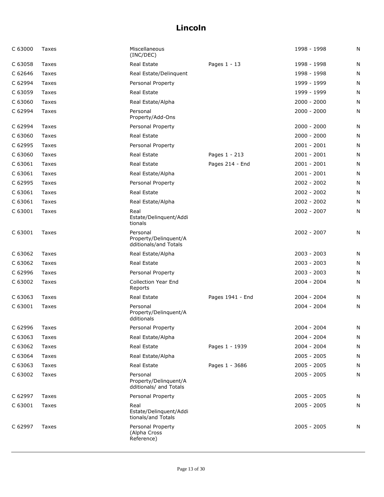| C 63000 | Taxes | Miscellaneous<br>(INC/DEC)                                  |                  | 1998 - 1998   | N |
|---------|-------|-------------------------------------------------------------|------------------|---------------|---|
| C 63058 | Taxes | Real Estate                                                 | Pages 1 - 13     | 1998 - 1998   | N |
| C 62646 | Taxes | Real Estate/Delinquent                                      |                  | 1998 - 1998   | N |
| C 62994 | Taxes | Personal Property                                           |                  | 1999 - 1999   | N |
| C 63059 | Taxes | Real Estate                                                 |                  | 1999 - 1999   | N |
| C 63060 | Taxes | Real Estate/Alpha                                           |                  | $2000 - 2000$ | N |
| C 62994 | Taxes | Personal<br>Property/Add-Ons                                |                  | $2000 - 2000$ | N |
| C 62994 | Taxes | Personal Property                                           |                  | $2000 - 2000$ | N |
| C 63060 | Taxes | Real Estate                                                 |                  | $2000 - 2000$ | N |
| C 62995 | Taxes | Personal Property                                           |                  | $2001 - 2001$ | N |
| C 63060 | Taxes | Real Estate                                                 | Pages 1 - 213    | $2001 - 2001$ | N |
| C 63061 | Taxes | Real Estate                                                 | Pages 214 - End  | $2001 - 2001$ | N |
| C 63061 | Taxes | Real Estate/Alpha                                           |                  | $2001 - 2001$ | N |
| C 62995 | Taxes | Personal Property                                           |                  | $2002 - 2002$ | N |
| C 63061 | Taxes | Real Estate                                                 |                  | $2002 - 2002$ | N |
| C 63061 | Taxes | Real Estate/Alpha                                           |                  | $2002 - 2002$ | N |
| C 63001 | Taxes | Real<br>Estate/Delinquent/Addi<br>tionals                   |                  | $2002 - 2007$ | N |
| C 63001 | Taxes | Personal<br>Property/Delinquent/A<br>dditionals/and Totals  |                  | $2002 - 2007$ | N |
| C 63062 | Taxes | Real Estate/Alpha                                           |                  | $2003 - 2003$ | N |
| C 63062 | Taxes | Real Estate                                                 |                  | $2003 - 2003$ | N |
| C 62996 | Taxes | Personal Property                                           |                  | $2003 - 2003$ | N |
| C 63002 | Taxes | <b>Collection Year End</b><br>Reports                       |                  | $2004 - 2004$ | N |
| C 63063 | Taxes | Real Estate                                                 | Pages 1941 - End | 2004 - 2004   | N |
| C 63001 | Taxes | Personal<br>Property/Delinquent/A<br>dditionals             |                  | 2004 - 2004   | N |
| C 62996 | Taxes | Personal Property                                           |                  | 2004 - 2004   | N |
| C 63063 | Taxes | Real Estate/Alpha                                           |                  | $2004 - 2004$ | N |
| C 63062 | Taxes | Real Estate                                                 | Pages 1 - 1939   | $2004 - 2004$ | N |
| C 63064 | Taxes | Real Estate/Alpha                                           |                  | $2005 - 2005$ | N |
| C 63063 | Taxes | Real Estate                                                 | Pages 1 - 3686   | $2005 - 2005$ | N |
| C 63002 | Taxes | Personal<br>Property/Delinquent/A<br>dditionals/ and Totals |                  | $2005 - 2005$ | N |
| C 62997 | Taxes | Personal Property                                           |                  | $2005 - 2005$ | N |
| C 63001 | Taxes | Real<br>Estate/Delinquent/Addi<br>tionals/and Totals        |                  | 2005 - 2005   | N |
| C 62997 | Taxes | Personal Property<br>(Alpha Cross<br>Reference)             |                  | $2005 - 2005$ | N |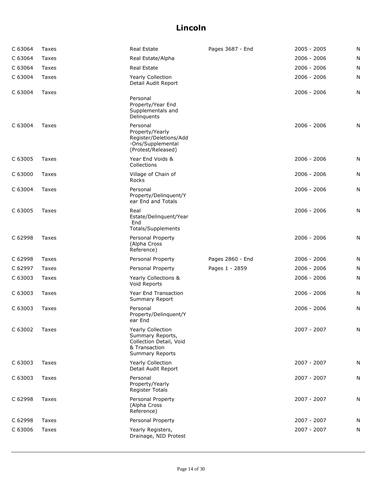| C 63064 | Taxes | Real Estate                                                                                                 | Pages 3687 - End | $2005 - 2005$ | N |
|---------|-------|-------------------------------------------------------------------------------------------------------------|------------------|---------------|---|
| C 63064 | Taxes | Real Estate/Alpha                                                                                           |                  | $2006 - 2006$ | N |
| C 63064 | Taxes | <b>Real Estate</b>                                                                                          |                  | $2006 - 2006$ | N |
| C 63004 | Taxes | <b>Yearly Collection</b><br>Detail Audit Report                                                             |                  | $2006 - 2006$ | N |
| C 63004 | Taxes | Personal<br>Property/Year End<br>Supplementals and<br>Delinquents                                           |                  | $2006 - 2006$ | N |
| C 63004 | Taxes | Personal<br>Property/Yearly<br>Register/Deletions/Add<br>-Ons/Supplemental<br>(Protest/Released)            |                  | $2006 - 2006$ | N |
| C 63005 | Taxes | Year End Voids &<br>Collections                                                                             |                  | $2006 - 2006$ | N |
| C 63000 | Taxes | Village of Chain of<br>Rocks                                                                                |                  | 2006 - 2006   | N |
| C 63004 | Taxes | Personal<br>Property/Delinquent/Y<br>ear End and Totals                                                     |                  | $2006 - 2006$ | N |
| C 63005 | Taxes | Real<br>Estate/Delinquent/Year<br>End<br>Totals/Supplements                                                 |                  | $2006 - 2006$ | N |
| C 62998 | Taxes | Personal Property<br>(Alpha Cross<br>Reference)                                                             |                  | $2006 - 2006$ | N |
| C 62998 | Taxes | Personal Property                                                                                           | Pages 2860 - End | $2006 - 2006$ | N |
| C 62997 | Taxes | Personal Property                                                                                           | Pages 1 - 2859   | 2006 - 2006   | N |
| C 63003 | Taxes | Yearly Collections &<br>Void Reports                                                                        |                  | 2006 - 2006   | N |
| C 63003 | Taxes | Year End Transaction<br>Summary Report                                                                      |                  | $2006 - 2006$ | N |
| C 63003 | Taxes | Personal<br>Property/Delinquent/Y<br>ear End                                                                |                  | $2006 - 2006$ | N |
| C 63002 | Taxes | Yearly Collection<br>Summary Reports,<br>Collection Detail, Void<br>& Transaction<br><b>Summary Reports</b> |                  | 2007 - 2007   | N |
| C 63003 | Taxes | <b>Yearly Collection</b><br>Detail Audit Report                                                             |                  | $2007 - 2007$ | N |
| C 63003 | Taxes | Personal<br>Property/Yearly<br><b>Register Totals</b>                                                       |                  | 2007 - 2007   | N |
| C 62998 | Taxes | Personal Property<br>(Alpha Cross<br>Reference)                                                             |                  | $2007 - 2007$ | N |
| C 62998 | Taxes | Personal Property                                                                                           |                  | 2007 - 2007   | N |
| C 63006 | Taxes | Yearly Registers,<br>Drainage, NID Protest                                                                  |                  | 2007 - 2007   | N |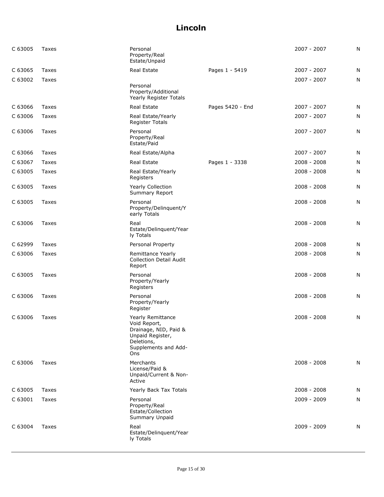| C 63005 | Taxes | Personal<br>Property/Real<br>Estate/Unpaid                                                                                  |                  | 2007 - 2007   | N |
|---------|-------|-----------------------------------------------------------------------------------------------------------------------------|------------------|---------------|---|
| C 63065 | Taxes | Real Estate                                                                                                                 | Pages 1 - 5419   | 2007 - 2007   | N |
| C 63002 | Taxes | Personal<br>Property/Additional<br>Yearly Register Totals                                                                   |                  | 2007 - 2007   | N |
| C 63066 | Taxes | Real Estate                                                                                                                 | Pages 5420 - End | 2007 - 2007   | N |
| C 63006 | Taxes | Real Estate/Yearly<br><b>Register Totals</b>                                                                                |                  | 2007 - 2007   | N |
| C 63006 | Taxes | Personal<br>Property/Real<br>Estate/Paid                                                                                    |                  | 2007 - 2007   | N |
| C 63066 | Taxes | Real Estate/Alpha                                                                                                           |                  | 2007 - 2007   | N |
| C 63067 | Taxes | Real Estate                                                                                                                 | Pages 1 - 3338   | $2008 - 2008$ | N |
| C 63005 | Taxes | Real Estate/Yearly<br>Registers                                                                                             |                  | $2008 - 2008$ | N |
| C 63005 | Taxes | Yearly Collection<br>Summary Report                                                                                         |                  | $2008 - 2008$ | N |
| C 63005 | Taxes | Personal<br>Property/Delinquent/Y<br>early Totals                                                                           |                  | $2008 - 2008$ | N |
| C 63006 | Taxes | Real<br>Estate/Delinquent/Year<br>ly Totals                                                                                 |                  | $2008 - 2008$ | N |
| C 62999 | Taxes | Personal Property                                                                                                           |                  | $2008 - 2008$ | N |
| C 63006 | Taxes | Remittance Yearly<br><b>Collection Detail Audit</b><br>Report                                                               |                  | 2008 - 2008   | N |
| C 63005 | Taxes | Personal<br>Property/Yearly<br>Registers                                                                                    |                  | 2008 - 2008   | N |
| C 63006 | Taxes | Personal<br>Property/Yearly<br>Register                                                                                     |                  | $2008 - 2008$ | N |
| C 63006 | Taxes | Yearly Remittance<br>Void Report,<br>Drainage, NID, Paid &<br>Unpaid Register,<br>Deletions,<br>Supplements and Add-<br>Ons |                  | $2008 - 2008$ | N |
| C 63006 | Taxes | Merchants<br>License/Paid &<br>Unpaid/Current & Non-<br>Active                                                              |                  | $2008 - 2008$ | N |
| C 63005 | Taxes | Yearly Back Tax Totals                                                                                                      |                  | $2008 - 2008$ | N |
| C 63001 | Taxes | Personal<br>Property/Real<br>Estate/Collection<br>Summary Unpaid                                                            |                  | 2009 - 2009   | N |
| C 63004 | Taxes | Real<br>Estate/Delinquent/Year<br>ly Totals                                                                                 |                  | 2009 - 2009   | N |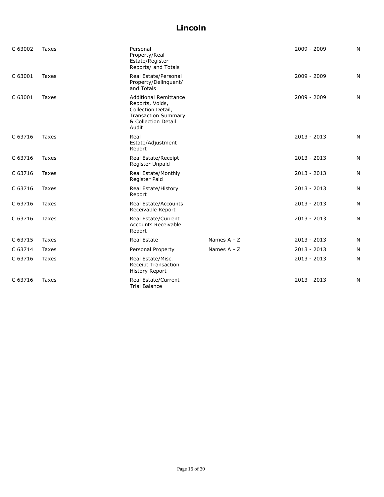| C 63002 | Taxes | Personal<br>Property/Real<br>Estate/Register<br>Reports/ and Totals                                                                 |             | 2009 - 2009   | N |
|---------|-------|-------------------------------------------------------------------------------------------------------------------------------------|-------------|---------------|---|
| C 63001 | Taxes | Real Estate/Personal<br>Property/Delinquent/<br>and Totals                                                                          |             | 2009 - 2009   | N |
| C 63001 | Taxes | <b>Additional Remittance</b><br>Reports, Voids,<br>Collection Detail,<br><b>Transaction Summary</b><br>& Collection Detail<br>Audit |             | $2009 - 2009$ | N |
| C 63716 | Taxes | Real<br>Estate/Adjustment<br>Report                                                                                                 |             | $2013 - 2013$ | Ν |
| C 63716 | Taxes | Real Estate/Receipt<br>Register Unpaid                                                                                              |             | $2013 - 2013$ | N |
| C 63716 | Taxes | Real Estate/Monthly<br>Register Paid                                                                                                |             | $2013 - 2013$ | N |
| C 63716 | Taxes | Real Estate/History<br>Report                                                                                                       |             | $2013 - 2013$ | N |
| C 63716 | Taxes | Real Estate/Accounts<br>Receivable Report                                                                                           |             | $2013 - 2013$ | N |
| C 63716 | Taxes | Real Estate/Current<br><b>Accounts Receivable</b><br>Report                                                                         |             | $2013 - 2013$ | N |
| C 63715 | Taxes | <b>Real Estate</b>                                                                                                                  | Names A - Z | $2013 - 2013$ | N |
| C 63714 | Taxes | Personal Property                                                                                                                   | Names A - Z | $2013 - 2013$ | N |
| C 63716 | Taxes | Real Estate/Misc.<br><b>Receipt Transaction</b><br><b>History Report</b>                                                            |             | $2013 - 2013$ | N |
| C 63716 | Taxes | Real Estate/Current<br><b>Trial Balance</b>                                                                                         |             | $2013 - 2013$ | N |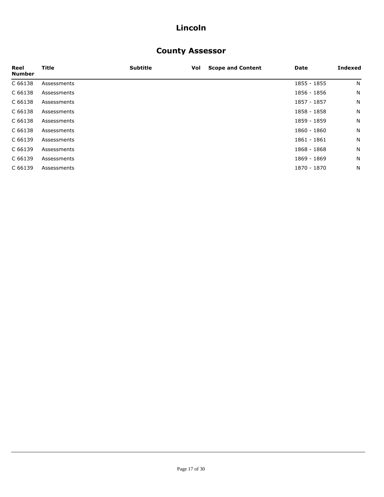## **County Assessor**

| Reel<br><b>Number</b> | Title       | <b>Subtitle</b> | Vol | <b>Scope and Content</b> | Date        | <b>Indexed</b> |
|-----------------------|-------------|-----------------|-----|--------------------------|-------------|----------------|
| C 66138               | Assessments |                 |     |                          | 1855 - 1855 | N              |
| C 66138               | Assessments |                 |     |                          | 1856 - 1856 | N              |
| C 66138               | Assessments |                 |     |                          | 1857 - 1857 | N              |
| C 66138               | Assessments |                 |     |                          | 1858 - 1858 | N              |
| C 66138               | Assessments |                 |     |                          | 1859 - 1859 | N              |
| C 66138               | Assessments |                 |     |                          | 1860 - 1860 | N              |
| C 66139               | Assessments |                 |     |                          | 1861 - 1861 | N              |
| C 66139               | Assessments |                 |     |                          | 1868 - 1868 | N              |
| C 66139               | Assessments |                 |     |                          | 1869 - 1869 | N              |
| C 66139               | Assessments |                 |     |                          | 1870 - 1870 | N              |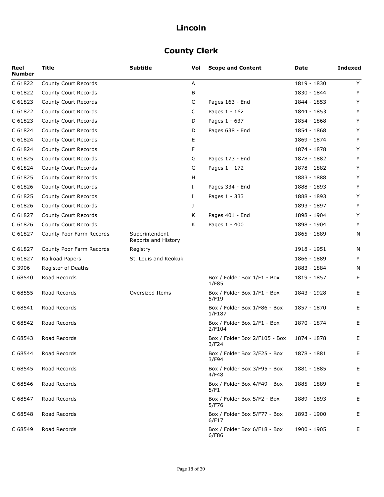# **County Clerk**

| Reel<br><b>Number</b> | <b>Title</b>                | <b>Subtitle</b>                       | Vol | <b>Scope and Content</b>               | Date        | <b>Indexed</b> |
|-----------------------|-----------------------------|---------------------------------------|-----|----------------------------------------|-------------|----------------|
| C 61822               | <b>County Court Records</b> |                                       | Α   |                                        | 1819 - 1830 | Y              |
| C 61822               | County Court Records        |                                       | В   |                                        | 1830 - 1844 | Υ              |
| C 61823               | County Court Records        |                                       | С   | Pages 163 - End                        | 1844 - 1853 | Y              |
| C 61822               | County Court Records        |                                       | C   | Pages 1 - 162                          | 1844 - 1853 | Υ              |
| C 61823               | County Court Records        |                                       | D   | Pages 1 - 637                          | 1854 - 1868 | Υ              |
| C 61824               | County Court Records        |                                       | D   | Pages 638 - End                        | 1854 - 1868 | Υ              |
| C 61824               | County Court Records        |                                       | Е   |                                        | 1869 - 1874 | Y              |
| C 61824               | County Court Records        |                                       | F   |                                        | 1874 - 1878 | Y              |
| C 61825               | County Court Records        |                                       | G   | Pages 173 - End                        | 1878 - 1882 | Υ              |
| C 61824               | County Court Records        |                                       | G   | Pages 1 - 172                          | 1878 - 1882 | Υ              |
| C 61825               | County Court Records        |                                       | H   |                                        | 1883 - 1888 | Y              |
| C 61826               | County Court Records        |                                       | Ι.  | Pages 334 - End                        | 1888 - 1893 | Y              |
| C 61825               | County Court Records        |                                       | Ι.  | Pages 1 - 333                          | 1888 - 1893 | Υ              |
| C 61826               | County Court Records        |                                       | J   |                                        | 1893 - 1897 | Y              |
| C 61827               | County Court Records        |                                       | Κ   | Pages 401 - End                        | 1898 - 1904 | Y              |
| C 61826               | County Court Records        |                                       | K   | Pages 1 - 400                          | 1898 - 1904 | Y              |
| C 61827               | County Poor Farm Records    | Superintendent<br>Reports and History |     |                                        | 1865 - 1889 | N              |
| C 61827               | County Poor Farm Records    | Registry                              |     |                                        | 1918 - 1951 | N              |
| C 61827               | Railroad Papers             | St. Louis and Keokuk                  |     |                                        | 1866 - 1889 | Y              |
| C 3906                | Register of Deaths          |                                       |     |                                        | 1883 - 1884 | N              |
| C 68540               | Road Records                |                                       |     | Box / Folder Box 1/F1 - Box<br>1/F85   | 1819 - 1857 | Е              |
| C 68555               | Road Records                | Oversized Items                       |     | Box / Folder Box 1/F1 - Box<br>5/F19   | 1843 - 1928 | Е              |
| C 68541               | Road Records                |                                       |     | Box / Folder Box 1/F86 - Box<br>1/F187 | 1857 - 1870 | Е              |
| C 68542               | Road Records                |                                       |     | Box / Folder Box 2/F1 - Box<br>2/F104  | 1870 - 1874 | Е              |
| C 68543               | Road Records                |                                       |     | Box / Folder Box 2/F105 - Box<br>3/F24 | 1874 - 1878 | Ε              |
| C 68544               | Road Records                |                                       |     | Box / Folder Box 3/F25 - Box<br>3/F94  | 1878 - 1881 | Е              |
| C 68545               | Road Records                |                                       |     | Box / Folder Box 3/F95 - Box<br>4/F48  | 1881 - 1885 | Е              |
| C 68546               | Road Records                |                                       |     | Box / Folder Box 4/F49 - Box<br>5/F1   | 1885 - 1889 | Е              |
| C 68547               | Road Records                |                                       |     | Box / Folder Box 5/F2 - Box<br>5/F76   | 1889 - 1893 | Е              |
| C 68548               | Road Records                |                                       |     | Box / Folder Box 5/F77 - Box<br>6/F17  | 1893 - 1900 | Е              |
| C 68549               | Road Records                |                                       |     | Box / Folder Box 6/F18 - Box<br>6/F86  | 1900 - 1905 | Е              |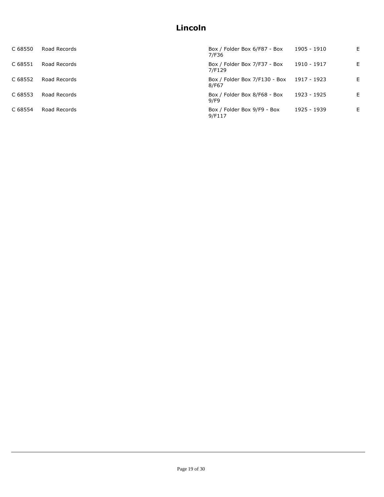| C 68550 | Road Records | Box / Folder Box 6/F87 - Box<br>7/F36              | 1905 - 1910 | E. |
|---------|--------------|----------------------------------------------------|-------------|----|
| C 68551 | Road Records | Box / Folder Box 7/F37 - Box<br>7/F129             | 1910 - 1917 | E  |
| C 68552 | Road Records | Box / Folder Box 7/F130 - Box 1917 - 1923<br>8/F67 |             | E. |
| C 68553 | Road Records | Box / Folder Box 8/F68 - Box<br>9/F9               | 1923 - 1925 | E. |
| C 68554 | Road Records | Box / Folder Box 9/F9 - Box<br>9/F117              | 1925 - 1939 | E. |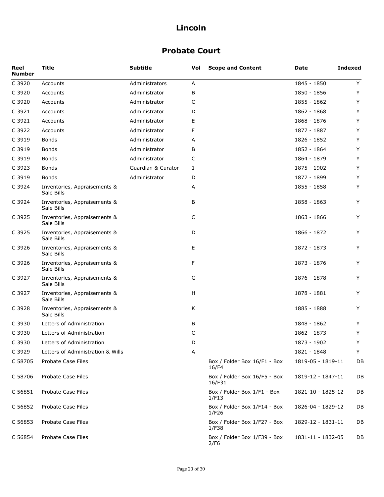## **Probate Court**

| Reel<br><b>Number</b> | Title                                      | <b>Subtitle</b>    | Vol | <b>Scope and Content</b>               | Date              | <b>Indexed</b> |
|-----------------------|--------------------------------------------|--------------------|-----|----------------------------------------|-------------------|----------------|
| C 3920                | Accounts                                   | Administrators     | Α   |                                        | 1845 - 1850       | Y              |
| C 3920                | Accounts                                   | Administrator      | В   |                                        | 1850 - 1856       | Y              |
| C 3920                | Accounts                                   | Administrator      | C   |                                        | 1855 - 1862       | Y              |
| C 3921                | Accounts                                   | Administrator      | D   |                                        | 1862 - 1868       | Y              |
| C 3921                | Accounts                                   | Administrator      | Ε   |                                        | 1868 - 1876       | Y              |
| C 3922                | Accounts                                   | Administrator      | F   |                                        | 1877 - 1887       | Y              |
| C 3919                | <b>Bonds</b>                               | Administrator      | A   |                                        | 1826 - 1852       | Y              |
| C 3919                | Bonds                                      | Administrator      | В   |                                        | 1852 - 1864       | Y              |
| C 3919                | <b>Bonds</b>                               | Administrator      | C   |                                        | 1864 - 1879       | Y              |
| C 3923                | <b>Bonds</b>                               | Guardian & Curator | 1   |                                        | 1875 - 1902       | Y              |
| C 3919                | <b>Bonds</b>                               | Administrator      | D   |                                        | 1877 - 1899       | Y              |
| C 3924                | Inventories, Appraisements &<br>Sale Bills |                    | Α   |                                        | 1855 - 1858       | Y              |
| C 3924                | Inventories, Appraisements &<br>Sale Bills |                    | В   |                                        | 1858 - 1863       | Y              |
| C 3925                | Inventories, Appraisements &<br>Sale Bills |                    | C   |                                        | 1863 - 1866       | Y              |
| C 3925                | Inventories, Appraisements &<br>Sale Bills |                    | D   |                                        | 1866 - 1872       | Y              |
| C 3926                | Inventories, Appraisements &<br>Sale Bills |                    | Ε   |                                        | 1872 - 1873       | Y              |
| C 3926                | Inventories, Appraisements &<br>Sale Bills |                    | F   |                                        | 1873 - 1876       | Y              |
| C 3927                | Inventories, Appraisements &<br>Sale Bills |                    | G   |                                        | 1876 - 1878       | Y              |
| C 3927                | Inventories, Appraisements &<br>Sale Bills |                    | н   |                                        | 1878 - 1881       | Y              |
| C 3928                | Inventories, Appraisements &<br>Sale Bills |                    | К   |                                        | 1885 - 1888       | Y              |
| C 3930                | Letters of Administration                  |                    | В   |                                        | 1848 - 1862       | Y              |
| C 3930                | Letters of Administration                  |                    | C   |                                        | 1862 - 1873       | Y              |
| C 3930                | Letters of Administration                  |                    | D   |                                        | 1873 - 1902       | Y              |
| C 3929                | Letters of Administration & Wills          |                    | Α   |                                        | 1821 - 1848       | Y              |
| C 58705               | Probate Case Files                         |                    |     | Box / Folder Box 16/F1 - Box<br>16/F4  | 1819-05 - 1819-11 | DB             |
| C 58706               | Probate Case Files                         |                    |     | Box / Folder Box 16/F5 - Box<br>16/F31 | 1819-12 - 1847-11 | DB             |
| C 56851               | Probate Case Files                         |                    |     | Box / Folder Box 1/F1 - Box<br>1/F13   | 1821-10 - 1825-12 | DB             |
| C 56852               | Probate Case Files                         |                    |     | Box / Folder Box 1/F14 - Box<br>1/F26  | 1826-04 - 1829-12 | DB             |
| C 56853               | Probate Case Files                         |                    |     | Box / Folder Box 1/F27 - Box<br>1/F38  | 1829-12 - 1831-11 | DB             |
| C 56854               | Probate Case Files                         |                    |     | Box / Folder Box 1/F39 - Box<br>2/F6   | 1831-11 - 1832-05 | DB             |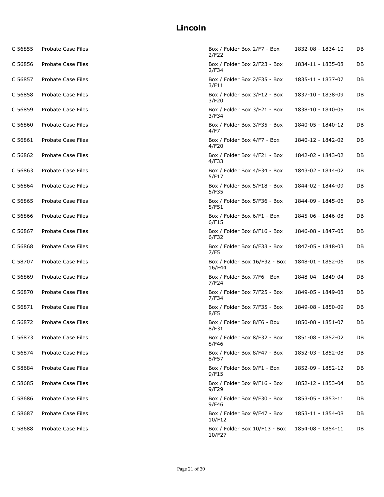| C 56855 | Probate Case Files        | Box / Folder Box 2/F7 - Box<br>2/F22    | 1832-08 - 1834-10 | DB |
|---------|---------------------------|-----------------------------------------|-------------------|----|
| C 56856 | Probate Case Files        | Box / Folder Box 2/F23 - Box<br>2/F34   | 1834-11 - 1835-08 | DB |
| C 56857 | Probate Case Files        | Box / Folder Box 2/F35 - Box<br>3/F11   | 1835-11 - 1837-07 | DB |
| C 56858 | Probate Case Files        | Box / Folder Box 3/F12 - Box<br>3/F20   | 1837-10 - 1838-09 | DB |
| C 56859 | Probate Case Files        | Box / Folder Box 3/F21 - Box<br>3/F34   | 1838-10 - 1840-05 | DB |
| C 56860 | Probate Case Files        | Box / Folder Box 3/F35 - Box<br>4/F7    | 1840-05 - 1840-12 | DB |
| C 56861 | Probate Case Files        | Box / Folder Box 4/F7 - Box<br>4/F20    | 1840-12 - 1842-02 | DB |
| C 56862 | Probate Case Files        | Box / Folder Box 4/F21 - Box<br>4/F33   | 1842-02 - 1843-02 | DB |
| C 56863 | Probate Case Files        | Box / Folder Box 4/F34 - Box<br>5/F17   | 1843-02 - 1844-02 | DB |
| C 56864 | Probate Case Files        | Box / Folder Box 5/F18 - Box<br>5/F35   | 1844-02 - 1844-09 | DB |
| C 56865 | Probate Case Files        | Box / Folder Box 5/F36 - Box<br>5/F51   | 1844-09 - 1845-06 | DB |
| C 56866 | <b>Probate Case Files</b> | Box / Folder Box 6/F1 - Box<br>6/F15    | 1845-06 - 1846-08 | DB |
| C 56867 | Probate Case Files        | Box / Folder Box 6/F16 - Box<br>6/F32   | 1846-08 - 1847-05 | DB |
| C 56868 | Probate Case Files        | Box / Folder Box 6/F33 - Box<br>7/F5    | 1847-05 - 1848-03 | DB |
| C 58707 | Probate Case Files        | Box / Folder Box 16/F32 - Box<br>16/F44 | 1848-01 - 1852-06 | DB |
| C 56869 | Probate Case Files        | Box / Folder Box 7/F6 - Box<br>7/F24    | 1848-04 - 1849-04 | DB |
| C 56870 | Probate Case Files        | Box / Folder Box 7/F25 - Box<br>7/F34   | 1849-05 - 1849-08 | DB |
| C 56871 | Probate Case Files        | Box / Folder Box 7/F35 - Box<br>8/F5    | 1849-08 - 1850-09 | DB |
| C 56872 | Probate Case Files        | Box / Folder Box 8/F6 - Box<br>8/F31    | 1850-08 - 1851-07 | DB |
| C 56873 | Probate Case Files        | Box / Folder Box 8/F32 - Box<br>8/F46   | 1851-08 - 1852-02 | DB |
| C 56874 | Probate Case Files        | Box / Folder Box 8/F47 - Box<br>8/F57   | 1852-03 - 1852-08 | DB |
| C 58684 | Probate Case Files        | Box / Folder Box 9/F1 - Box<br>9/F15    | 1852-09 - 1852-12 | DB |
| C 58685 | Probate Case Files        | Box / Folder Box 9/F16 - Box<br>9/F29   | 1852-12 - 1853-04 | DB |
| C 58686 | Probate Case Files        | Box / Folder Box 9/F30 - Box<br>9/F46   | 1853-05 - 1853-11 | DB |
| C 58687 | Probate Case Files        | Box / Folder Box 9/F47 - Box<br>10/F12  | 1853-11 - 1854-08 | DB |
| C 58688 | Probate Case Files        | Box / Folder Box 10/F13 - Box<br>10/F27 | 1854-08 - 1854-11 | DB |
|         |                           |                                         |                   |    |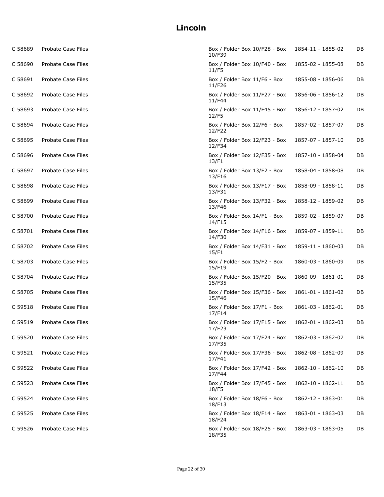| C 58689 | Probate Case Files | Box / Folder Box 10/F28 - Box<br>10/F39 | 1854-11 - 1855-02 | DB |
|---------|--------------------|-----------------------------------------|-------------------|----|
| C 58690 | Probate Case Files | Box / Folder Box 10/F40 - Box<br>11/F5  | 1855-02 - 1855-08 | DB |
| C 58691 | Probate Case Files | Box / Folder Box 11/F6 - Box<br>11/F26  | 1855-08 - 1856-06 | DB |
| C 58692 | Probate Case Files | Box / Folder Box 11/F27 - Box<br>11/F44 | 1856-06 - 1856-12 | DB |
| C 58693 | Probate Case Files | Box / Folder Box 11/F45 - Box<br>12/F5  | 1856-12 - 1857-02 | DB |
| C 58694 | Probate Case Files | Box / Folder Box 12/F6 - Box<br>12/F22  | 1857-02 - 1857-07 | DB |
| C 58695 | Probate Case Files | Box / Folder Box 12/F23 - Box<br>12/F34 | 1857-07 - 1857-10 | DB |
| C 58696 | Probate Case Files | Box / Folder Box 12/F35 - Box<br>13/F1  | 1857-10 - 1858-04 | DB |
| C 58697 | Probate Case Files | Box / Folder Box 13/F2 - Box<br>13/F16  | 1858-04 - 1858-08 | DB |
| C 58698 | Probate Case Files | Box / Folder Box 13/F17 - Box<br>13/F31 | 1858-09 - 1858-11 | DB |
| C 58699 | Probate Case Files | Box / Folder Box 13/F32 - Box<br>13/F46 | 1858-12 - 1859-02 | DB |
| C 58700 | Probate Case Files | Box / Folder Box 14/F1 - Box<br>14/F15  | 1859-02 - 1859-07 | DB |
| C 58701 | Probate Case Files | Box / Folder Box 14/F16 - Box<br>14/F30 | 1859-07 - 1859-11 | DB |
| C 58702 | Probate Case Files | Box / Folder Box 14/F31 - Box<br>15/F1  | 1859-11 - 1860-03 | DB |
| C 58703 | Probate Case Files | Box / Folder Box 15/F2 - Box<br>15/F19  | 1860-03 - 1860-09 | DB |
| C 58704 | Probate Case Files | Box / Folder Box 15/F20 - Box<br>15/F35 | 1860-09 - 1861-01 | DB |
| C 58705 | Probate Case Files | Box / Folder Box 15/F36 - Box<br>15/F46 | 1861-01 - 1861-02 | DB |
| C 59518 | Probate Case Files | Box / Folder Box 17/F1 - Box<br>17/F14  | 1861-03 - 1862-01 | DB |
| C 59519 | Probate Case Files | Box / Folder Box 17/F15 - Box<br>17/F23 | 1862-01 - 1862-03 | DB |
| C 59520 | Probate Case Files | Box / Folder Box 17/F24 - Box<br>17/F35 | 1862-03 - 1862-07 | DB |
| C 59521 | Probate Case Files | Box / Folder Box 17/F36 - Box<br>17/F41 | 1862-08 - 1862-09 | DB |
| C 59522 | Probate Case Files | Box / Folder Box 17/F42 - Box<br>17/F44 | 1862-10 - 1862-10 | DB |
| C 59523 | Probate Case Files | Box / Folder Box 17/F45 - Box<br>18/F5  | 1862-10 - 1862-11 | DB |
| C 59524 | Probate Case Files | Box / Folder Box 18/F6 - Box<br>18/F13  | 1862-12 - 1863-01 | DB |
| C 59525 | Probate Case Files | Box / Folder Box 18/F14 - Box<br>18/F24 | 1863-01 - 1863-03 | DB |
| C 59526 | Probate Case Files | Box / Folder Box 18/F25 - Box<br>18/F35 | 1863-03 - 1863-05 | DB |
|         |                    |                                         |                   |    |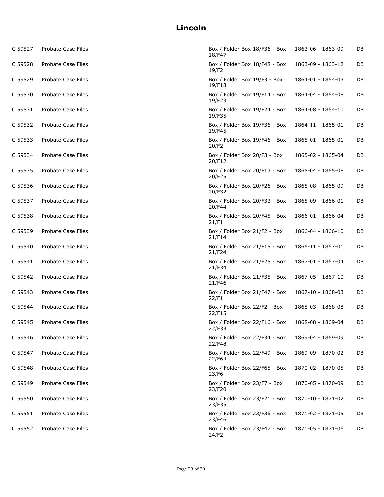| C 59527 | Probate Case Files | Box / Folder Box 18/F36 - Box<br>18/F47 | 1863-06 - 1863-09 | DB |
|---------|--------------------|-----------------------------------------|-------------------|----|
| C 59528 | Probate Case Files | Box / Folder Box 18/F48 - Box<br>19/F2  | 1863-09 - 1863-12 | DB |
| C 59529 | Probate Case Files | Box / Folder Box 19/F3 - Box<br>19/F13  | 1864-01 - 1864-03 | DB |
| C 59530 | Probate Case Files | Box / Folder Box 19/F14 - Box<br>19/F23 | 1864-04 - 1864-08 | DB |
| C 59531 | Probate Case Files | Box / Folder Box 19/F24 - Box<br>19/F35 | 1864-08 - 1864-10 | DB |
| C 59532 | Probate Case Files | Box / Folder Box 19/F36 - Box<br>19/F45 | 1864-11 - 1865-01 | DB |
| C 59533 | Probate Case Files | Box / Folder Box 19/F46 - Box<br>20/F2  | 1865-01 - 1865-01 | DB |
| C 59534 | Probate Case Files | Box / Folder Box 20/F3 - Box<br>20/F12  | 1865-02 - 1865-04 | DB |
| C 59535 | Probate Case Files | Box / Folder Box 20/F13 - Box<br>20/F25 | 1865-04 - 1865-08 | DB |
| C 59536 | Probate Case Files | Box / Folder Box 20/F26 - Box<br>20/F32 | 1865-08 - 1865-09 | DB |
| C 59537 | Probate Case Files | Box / Folder Box 20/F33 - Box<br>20/F44 | 1865-09 - 1866-01 | DB |
| C 59538 | Probate Case Files | Box / Folder Box 20/F45 - Box<br>21/F1  | 1866-01 - 1866-04 | DB |
| C 59539 | Probate Case Files | Box / Folder Box 21/F2 - Box<br>21/F14  | 1866-04 - 1866-10 | DB |
| C 59540 | Probate Case Files | Box / Folder Box 21/F15 - Box<br>21/F24 | 1866-11 - 1867-01 | DB |
| C 59541 | Probate Case Files | Box / Folder Box 21/F25 - Box<br>21/F34 | 1867-01 - 1867-04 | DB |
| C 59542 | Probate Case Files | Box / Folder Box 21/F35 - Box<br>21/F46 | 1867-05 - 1867-10 | DB |
| C 59543 | Probate Case Files | Box / Folder Box 21/F47 - Box<br>22/F1  | 1867-10 - 1868-03 | DB |
| C 59544 | Probate Case Files | Box / Folder Box 22/F2 - Box<br>22/F15  | 1868-03 - 1868-08 | DB |
| C 59545 | Probate Case Files | Box / Folder Box 22/F16 - Box<br>22/F33 | 1868-08 - 1869-04 | DB |
| C 59546 | Probate Case Files | Box / Folder Box 22/F34 - Box<br>22/F48 | 1869-04 - 1869-09 | DB |
| C 59547 | Probate Case Files | Box / Folder Box 22/F49 - Box<br>22/F64 | 1869-09 - 1870-02 | DB |
| C 59548 | Probate Case Files | Box / Folder Box 22/F65 - Box<br>23/F6  | 1870-02 - 1870-05 | DB |
| C 59549 | Probate Case Files | Box / Folder Box 23/F7 - Box<br>23/F20  | 1870-05 - 1870-09 | DB |
| C 59550 | Probate Case Files | Box / Folder Box 23/F21 - Box<br>23/F35 | 1870-10 - 1871-02 | DB |
| C 59551 | Probate Case Files | Box / Folder Box 23/F36 - Box<br>23/F46 | 1871-02 - 1871-05 | DB |
| C 59552 | Probate Case Files | Box / Folder Box 23/F47 - Box<br>24/F2  | 1871-05 - 1871-06 | DB |
|         |                    |                                         |                   |    |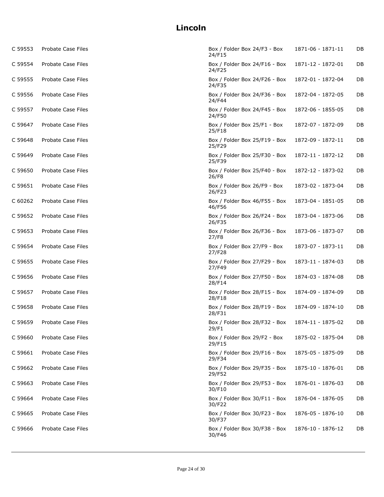| C 59553 | Probate Case Files | Box / Folder Box 24/F3 - Box<br>24/F15  | 1871-06 - 1871-11 | DB |
|---------|--------------------|-----------------------------------------|-------------------|----|
| C 59554 | Probate Case Files | Box / Folder Box 24/F16 - Box<br>24/F25 | 1871-12 - 1872-01 | DB |
| C 59555 | Probate Case Files | Box / Folder Box 24/F26 - Box<br>24/F35 | 1872-01 - 1872-04 | DB |
| C 59556 | Probate Case Files | Box / Folder Box 24/F36 - Box<br>24/F44 | 1872-04 - 1872-05 | DB |
| C 59557 | Probate Case Files | Box / Folder Box 24/F45 - Box<br>24/F50 | 1872-06 - 1855-05 | DB |
| C 59647 | Probate Case Files | Box / Folder Box 25/F1 - Box<br>25/F18  | 1872-07 - 1872-09 | DB |
| C 59648 | Probate Case Files | Box / Folder Box 25/F19 - Box<br>25/F29 | 1872-09 - 1872-11 | DB |
| C 59649 | Probate Case Files | Box / Folder Box 25/F30 - Box<br>25/F39 | 1872-11 - 1872-12 | DB |
| C 59650 | Probate Case Files | Box / Folder Box 25/F40 - Box<br>26/F8  | 1872-12 - 1873-02 | DB |
| C 59651 | Probate Case Files | Box / Folder Box 26/F9 - Box<br>26/F23  | 1873-02 - 1873-04 | DB |
| C 60262 | Probate Case Files | Box / Folder Box 46/F55 - Box<br>46/F56 | 1873-04 - 1851-05 | DB |
| C 59652 | Probate Case Files | Box / Folder Box 26/F24 - Box<br>26/F35 | 1873-04 - 1873-06 | DB |
| C 59653 | Probate Case Files | Box / Folder Box 26/F36 - Box<br>27/F8  | 1873-06 - 1873-07 | DB |
| C 59654 | Probate Case Files | Box / Folder Box 27/F9 - Box<br>27/F28  | 1873-07 - 1873-11 | DB |
| C 59655 | Probate Case Files | Box / Folder Box 27/F29 - Box<br>27/F49 | 1873-11 - 1874-03 | DB |
| C 59656 | Probate Case Files | Box / Folder Box 27/F50 - Box<br>28/F14 | 1874-03 - 1874-08 | DB |
| C 59657 | Probate Case Files | Box / Folder Box 28/F15 - Box<br>28/F18 | 1874-09 - 1874-09 | DB |
| C 59658 | Probate Case Files | Box / Folder Box 28/F19 - Box<br>28/F31 | 1874-09 - 1874-10 | DB |
| C 59659 | Probate Case Files | Box / Folder Box 28/F32 - Box<br>29/F1  | 1874-11 - 1875-02 | DB |
| C 59660 | Probate Case Files | Box / Folder Box 29/F2 - Box<br>29/F15  | 1875-02 - 1875-04 | DB |
| C 59661 | Probate Case Files | Box / Folder Box 29/F16 - Box<br>29/F34 | 1875-05 - 1875-09 | DB |
| C 59662 | Probate Case Files | Box / Folder Box 29/F35 - Box<br>29/F52 | 1875-10 - 1876-01 | DB |
| C 59663 | Probate Case Files | Box / Folder Box 29/F53 - Box<br>30/F10 | 1876-01 - 1876-03 | DB |
| C 59664 | Probate Case Files | Box / Folder Box 30/F11 - Box<br>30/F22 | 1876-04 - 1876-05 | DB |
| C 59665 | Probate Case Files | Box / Folder Box 30/F23 - Box<br>30/F37 | 1876-05 - 1876-10 | DB |
| C 59666 | Probate Case Files | Box / Folder Box 30/F38 - Box<br>30/F46 | 1876-10 - 1876-12 | DB |
|         |                    |                                         |                   |    |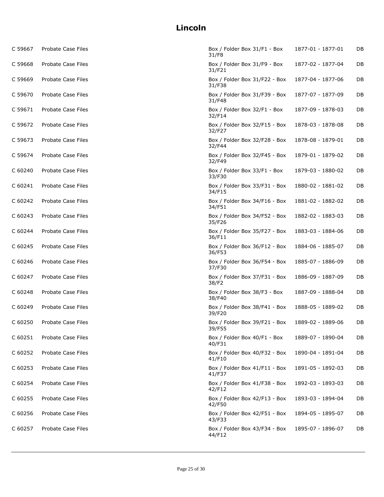| C 59667 | Probate Case Files | Box / Folder Box 31/F1 - Box<br>31/F8   | 1877-01 - 1877-01 | DB |
|---------|--------------------|-----------------------------------------|-------------------|----|
| C 59668 | Probate Case Files | Box / Folder Box 31/F9 - Box<br>31/F21  | 1877-02 - 1877-04 | DB |
| C 59669 | Probate Case Files | Box / Folder Box 31/F22 - Box<br>31/F38 | 1877-04 - 1877-06 | DB |
| C 59670 | Probate Case Files | Box / Folder Box 31/F39 - Box<br>31/F48 | 1877-07 - 1877-09 | DB |
| C 59671 | Probate Case Files | Box / Folder Box 32/F1 - Box<br>32/F14  | 1877-09 - 1878-03 | DB |
| C 59672 | Probate Case Files | Box / Folder Box 32/F15 - Box<br>32/F27 | 1878-03 - 1878-08 | DB |
| C 59673 | Probate Case Files | Box / Folder Box 32/F28 - Box<br>32/F44 | 1878-08 - 1879-01 | DB |
| C 59674 | Probate Case Files | Box / Folder Box 32/F45 - Box<br>32/F49 | 1879-01 - 1879-02 | DB |
| C 60240 | Probate Case Files | Box / Folder Box 33/F1 - Box<br>33/F30  | 1879-03 - 1880-02 | DB |
| C 60241 | Probate Case Files | Box / Folder Box 33/F31 - Box<br>34/F15 | 1880-02 - 1881-02 | DB |
| C 60242 | Probate Case Files | Box / Folder Box 34/F16 - Box<br>34/F51 | 1881-02 - 1882-02 | DB |
| C 60243 | Probate Case Files | Box / Folder Box 34/F52 - Box<br>35/F26 | 1882-02 - 1883-03 | DB |
| C 60244 | Probate Case Files | Box / Folder Box 35/F27 - Box<br>36/F11 | 1883-03 - 1884-06 | DB |
| C 60245 | Probate Case Files | Box / Folder Box 36/F12 - Box<br>36/F53 | 1884-06 - 1885-07 | DB |
| C 60246 | Probate Case Files | Box / Folder Box 36/F54 - Box<br>37/F30 | 1885-07 - 1886-09 | DB |
| C 60247 | Probate Case Files | Box / Folder Box 37/F31 - Box<br>38/F2  | 1886-09 - 1887-09 | DB |
| C 60248 | Probate Case Files | Box / Folder Box 38/F3 - Box<br>38/F40  | 1887-09 - 1888-04 | DB |
| C 60249 | Probate Case Files | Box / Folder Box 38/F41 - Box<br>39/F20 | 1888-05 - 1889-02 | DB |
| C 60250 | Probate Case Files | Box / Folder Box 39/F21 - Box<br>39/F55 | 1889-02 - 1889-06 | DB |
| C 60251 | Probate Case Files | Box / Folder Box 40/F1 - Box<br>40/F31  | 1889-07 - 1890-04 | DB |
| C 60252 | Probate Case Files | Box / Folder Box 40/F32 - Box<br>41/F10 | 1890-04 - 1891-04 | DB |
| C 60253 | Probate Case Files | Box / Folder Box 41/F11 - Box<br>41/F37 | 1891-05 - 1892-03 | DB |
| C 60254 | Probate Case Files | Box / Folder Box 41/F38 - Box<br>42/F12 | 1892-03 - 1893-03 | DB |
| C 60255 | Probate Case Files | Box / Folder Box 42/F13 - Box<br>42/F50 | 1893-03 - 1894-04 | DB |
| C 60256 | Probate Case Files | Box / Folder Box 42/F51 - Box<br>43/F33 | 1894-05 - 1895-07 | DB |
| C 60257 | Probate Case Files | Box / Folder Box 43/F34 - Box<br>44/F12 | 1895-07 - 1896-07 | DB |
|         |                    |                                         |                   |    |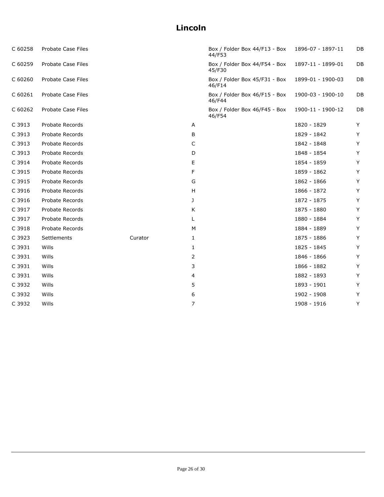| C 60258 | Probate Case Files |         |              | Box / Folder Box 44/F13 - Box<br>44/F53 | 1896-07 - 1897-11 | DB |
|---------|--------------------|---------|--------------|-----------------------------------------|-------------------|----|
| C 60259 | Probate Case Files |         |              | Box / Folder Box 44/F54 - Box<br>45/F30 | 1897-11 - 1899-01 | DB |
| C 60260 | Probate Case Files |         |              | Box / Folder Box 45/F31 - Box<br>46/F14 | 1899-01 - 1900-03 | DB |
| C 60261 | Probate Case Files |         |              | Box / Folder Box 46/F15 - Box<br>46/F44 | 1900-03 - 1900-10 | DB |
| C 60262 | Probate Case Files |         |              | Box / Folder Box 46/F45 - Box<br>46/F54 | 1900-11 - 1900-12 | DB |
| C 3913  | Probate Records    |         | Α            |                                         | 1820 - 1829       | Y  |
| C 3913  | Probate Records    |         | В            |                                         | 1829 - 1842       | Y  |
| C 3913  | Probate Records    |         | C            |                                         | 1842 - 1848       | Y  |
| C 3913  | Probate Records    |         | D            |                                         | 1848 - 1854       | Y  |
| C 3914  | Probate Records    |         | Е            |                                         | 1854 - 1859       | Y  |
| C 3915  | Probate Records    |         | F            |                                         | 1859 - 1862       | Y  |
| C 3915  | Probate Records    |         | G            |                                         | 1862 - 1866       | Y  |
| C 3916  | Probate Records    |         | н            |                                         | 1866 - 1872       | Y  |
| C 3916  | Probate Records    |         | J            |                                         | 1872 - 1875       | Y  |
| C 3917  | Probate Records    |         | K            |                                         | 1875 - 1880       | Y  |
| C 3917  | Probate Records    |         | L            |                                         | 1880 - 1884       | Y  |
| C 3918  | Probate Records    |         | М            |                                         | 1884 - 1889       | Y  |
| C 3923  | Settlements        | Curator | $\mathbf{1}$ |                                         | 1875 - 1886       | Y  |
| C 3931  | Wills              |         | 1            |                                         | 1825 - 1845       | Y  |
| C 3931  | Wills              |         | 2            |                                         | 1846 - 1866       | Y  |
| C 3931  | Wills              |         | 3            |                                         | 1866 - 1882       | Y  |
| C 3931  | Wills              |         | 4            |                                         | 1882 - 1893       | Y  |
| C 3932  | Wills              |         | 5            |                                         | 1893 - 1901       | Y  |
| C 3932  | Wills              |         | 6            |                                         | 1902 - 1908       | Y  |
| C 3932  | Wills              |         | 7            |                                         | 1908 - 1916       | Y  |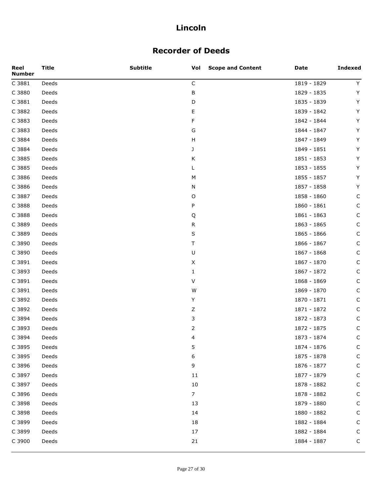## **Recorder of Deeds**

| Reel<br><b>Number</b> | <b>Title</b> | <b>Subtitle</b> | <b>Scope and Content</b><br>Vol | Date          | <b>Indexed</b> |
|-----------------------|--------------|-----------------|---------------------------------|---------------|----------------|
| C 3881                | Deeds        |                 | $\mathsf C$                     | 1819 - 1829   | Y              |
| C 3880                | Deeds        |                 | В                               | 1829 - 1835   | Y              |
| C 3881                | Deeds        |                 | D                               | 1835 - 1839   | Y              |
| C 3882                | Deeds        |                 | Ε                               | 1839 - 1842   | Y              |
| C 3883                | Deeds        |                 | F                               | 1842 - 1844   | Y              |
| C 3883                | Deeds        |                 | G                               | 1844 - 1847   | Υ              |
| C 3884                | Deeds        |                 | Н                               | 1847 - 1849   | Y              |
| C 3884                | Deeds        |                 | J                               | 1849 - 1851   | Υ              |
| C 3885                | Deeds        |                 | Κ                               | 1851 - 1853   | Y              |
| C 3885                | Deeds        |                 | L                               | 1853 - 1855   | Υ              |
| C 3886                | Deeds        |                 | М                               | 1855 - 1857   | Y              |
| C 3886                | Deeds        |                 | N                               | 1857 - 1858   | Y              |
| C 3887                | Deeds        |                 | O                               | 1858 - 1860   | C              |
| C 3888                | Deeds        |                 | P                               | $1860 - 1861$ | $\mathsf C$    |
| C 3888                | Deeds        |                 | Q                               | 1861 - 1863   | C              |
| C 3889                | Deeds        |                 | ${\sf R}$                       | 1863 - 1865   | $\mathsf C$    |
| C 3889                | Deeds        |                 | S                               | 1865 - 1866   | C              |
| C 3890                | Deeds        |                 | т                               | 1866 - 1867   | $\mathsf C$    |
| C 3890                | Deeds        |                 | U                               | 1867 - 1868   | C              |
| C 3891                | Deeds        |                 | X                               | 1867 - 1870   | $\mathsf C$    |
| C 3893                | Deeds        |                 | 1                               | 1867 - 1872   | C              |
| C 3891                | Deeds        |                 | V                               | 1868 - 1869   | $\mathsf C$    |
| C 3891                | Deeds        |                 | W                               | 1869 - 1870   | C              |
| C 3892                | Deeds        |                 | Y                               | 1870 - 1871   | $\mathsf C$    |
| C 3892                | Deeds        |                 | Ζ                               | 1871 - 1872   | C              |
| C 3894                | Deeds        |                 | 3                               | 1872 - 1873   | $\mathsf C$    |
| C 3893                | Deeds        |                 | 2                               | 1872 - 1875   | C              |
| C 3894                | Deeds        |                 | 4                               | 1873 - 1874   | $\mathsf C$    |
| C 3895                | Deeds        |                 | 5                               | 1874 - 1876   | C              |
| C 3895                | Deeds        |                 | 6                               | 1875 - 1878   | $\mathsf C$    |
| C 3896                | Deeds        |                 | 9                               | 1876 - 1877   | $\mathsf C$    |
| C 3897                | Deeds        |                 | 11                              | 1877 - 1879   | $\mathsf C$    |
| C 3897                | Deeds        |                 | 10                              | 1878 - 1882   | $\mathsf C$    |
| C 3896                | Deeds        |                 | $\overline{7}$                  | 1878 - 1882   | $\mathsf C$    |
| C 3898                | Deeds        |                 | 13                              | 1879 - 1880   | C              |
| C 3898                | Deeds        |                 | 14                              | 1880 - 1882   | $\mathsf C$    |
| C 3899                | Deeds        |                 | 18                              | 1882 - 1884   | $\mathsf C$    |
| C 3899                | Deeds        |                 | 17                              | 1882 - 1884   | $\mathsf C$    |
| C 3900                | Deeds        |                 | 21                              | 1884 - 1887   | $\mathsf C$    |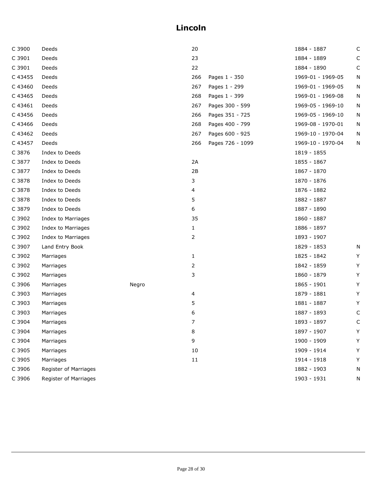| C 3900  | Deeds                 |       | 20  |                  | 1884 - 1887       | C           |
|---------|-----------------------|-------|-----|------------------|-------------------|-------------|
| C 3901  | Deeds                 |       | 23  |                  | 1884 - 1889       | $\mathsf C$ |
| C 3901  | Deeds                 |       | 22  |                  | 1884 - 1890       | C           |
| C 43455 | Deeds                 |       | 266 | Pages 1 - 350    | 1969-01 - 1969-05 | N           |
| C 43460 | Deeds                 |       | 267 | Pages 1 - 299    | 1969-01 - 1969-05 | N           |
| C 43465 | Deeds                 |       | 268 | Pages 1 - 399    | 1969-01 - 1969-08 | N           |
| C 43461 | Deeds                 |       | 267 | Pages 300 - 599  | 1969-05 - 1969-10 | Ν           |
| C 43456 | Deeds                 |       | 266 | Pages 351 - 725  | 1969-05 - 1969-10 | N           |
| C 43466 | Deeds                 |       | 268 | Pages 400 - 799  | 1969-08 - 1970-01 | N           |
| C 43462 | Deeds                 |       | 267 | Pages 600 - 925  | 1969-10 - 1970-04 | N           |
| C 43457 | Deeds                 |       | 266 | Pages 726 - 1099 | 1969-10 - 1970-04 | N           |
| C 3876  | Index to Deeds        |       |     |                  | 1819 - 1855       |             |
| C 3877  | Index to Deeds        |       | 2A  |                  | 1855 - 1867       |             |
| C 3877  | Index to Deeds        |       | 2B  |                  | 1867 - 1870       |             |
| C 3878  | Index to Deeds        |       | 3   |                  | 1870 - 1876       |             |
| C 3878  | Index to Deeds        |       | 4   |                  | 1876 - 1882       |             |
| C 3878  | Index to Deeds        |       | 5   |                  | 1882 - 1887       |             |
| C 3879  | Index to Deeds        |       | 6   |                  | 1887 - 1890       |             |
| C 3902  | Index to Marriages    |       | 35  |                  | 1860 - 1887       |             |
| C 3902  | Index to Marriages    |       | 1   |                  | 1886 - 1897       |             |
| C 3902  | Index to Marriages    |       | 2   |                  | 1893 - 1907       |             |
| C 3907  | Land Entry Book       |       |     |                  | 1829 - 1853       | N           |
| C 3902  | Marriages             |       | 1   |                  | 1825 - 1842       | Y           |
| C 3902  | Marriages             |       | 2   |                  | 1842 - 1859       | Y           |
| C 3902  | Marriages             |       | 3   |                  | 1860 - 1879       | Y           |
| C 3906  | Marriages             | Negro |     |                  | 1865 - 1901       | Y           |
| C 3903  | Marriages             |       | 4   |                  | 1879 - 1881       | Y           |
| C 3903  | Marriages             |       | 5   |                  | 1881 - 1887       | Υ           |
| C 3903  | Marriages             |       | 6   |                  | 1887 - 1893       | C           |
| C 3904  | Marriages             |       | 7   |                  | 1893 - 1897       | C           |
| C 3904  | Marriages             |       | 8   |                  | 1897 - 1907       | Y           |
| C 3904  | Marriages             |       | 9   |                  | 1900 - 1909       | Y           |
| C 3905  | Marriages             |       | 10  |                  | 1909 - 1914       | Y           |
| C 3905  | Marriages             |       | 11  |                  | 1914 - 1918       | Y           |
| C 3906  | Register of Marriages |       |     |                  | 1882 - 1903       | N           |
| C 3906  | Register of Marriages |       |     |                  | 1903 - 1931       | N           |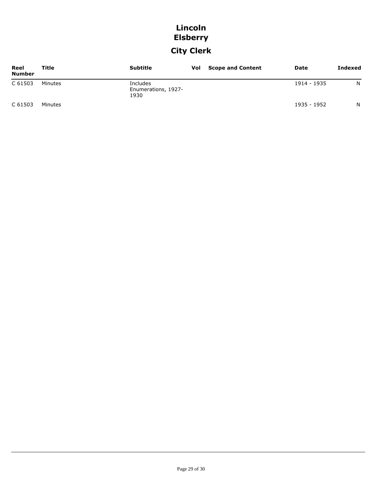## **Lincoln Elsberry**

# **City Clerk**

| Reel<br><b>Number</b> | Title   | <b>Subtitle</b>                         | Vol | <b>Scope and Content</b> | Date        | <b>Indexed</b> |
|-----------------------|---------|-----------------------------------------|-----|--------------------------|-------------|----------------|
| C 61503               | Minutes | Includes<br>Enumerations, 1927-<br>1930 |     |                          | 1914 - 1935 | N              |
| C 61503               | Minutes |                                         |     |                          | 1935 - 1952 | N              |